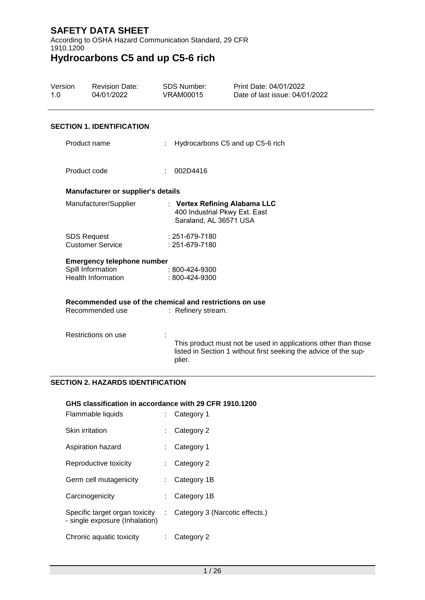According to OSHA Hazard Communication Standard, 29 CFR 1910.1200

# **Hydrocarbons C5 and up C5-6 rich**

| Version<br>1.0 | <b>Revision Date:</b><br>04/01/2022            | <b>SDS Number:</b><br><b>VRAM00015</b>                  | Print Date: 04/01/2022<br>Date of last issue: 04/01/2022                                                                           |
|----------------|------------------------------------------------|---------------------------------------------------------|------------------------------------------------------------------------------------------------------------------------------------|
|                | <b>SECTION 1. IDENTIFICATION</b>               |                                                         |                                                                                                                                    |
|                | Product name                                   |                                                         | Hydrocarbons C5 and up C5-6 rich                                                                                                   |
|                | Product code                                   | 002D4416                                                |                                                                                                                                    |
|                | Manufacturer or supplier's details             |                                                         |                                                                                                                                    |
|                | Manufacturer/Supplier                          | Saraland, AL 36571 USA                                  | : Vertex Refining Alabama LLC<br>400 Industrial Pkwy Ext. East                                                                     |
|                | <b>SDS Request</b><br><b>Customer Service</b>  | : 251-679-7180<br>: 251-679-7180                        |                                                                                                                                    |
|                | <b>Emergency telephone number</b>              |                                                         |                                                                                                                                    |
|                | Spill Information<br><b>Health Information</b> | : 800-424-9300<br>: 800-424-9300                        |                                                                                                                                    |
|                |                                                | Recommended use of the chemical and restrictions on use |                                                                                                                                    |
|                | Recommended use                                | : Refinery stream.                                      |                                                                                                                                    |
|                | Restrictions on use                            | plier.                                                  | This product must not be used in applications other than those<br>listed in Section 1 without first seeking the advice of the sup- |
|                | <b>SECTION 2. HAZARDS IDENTIFICATION</b>       |                                                         |                                                                                                                                    |

### **GHS classification in accordance with 29 CFR 1910.1200**

| Flammable liquids                                                |    | Category 1                     |
|------------------------------------------------------------------|----|--------------------------------|
| <b>Skin irritation</b>                                           |    | Category 2                     |
| Aspiration hazard                                                |    | Category 1                     |
| Reproductive toxicity                                            |    | Category 2                     |
| Germ cell mutagenicity                                           |    | Category 1B                    |
| Carcinogenicity                                                  |    | Category 1B                    |
| Specific target organ toxicity<br>- single exposure (Inhalation) | t. | Category 3 (Narcotic effects.) |
| Chronic aquatic toxicity                                         |    | Category 2                     |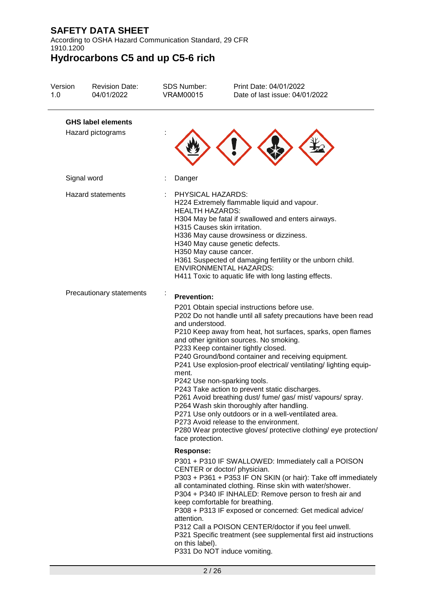According to OSHA Hazard Communication Standard, 29 CFR 1910.1200

| Version<br>1.0 | <b>Revision Date:</b><br>04/01/2022            | <b>SDS Number:</b><br><b>VRAM00015</b>                                                                | Print Date: 04/01/2022<br>Date of last issue: 04/01/2022                                                                                                                                                                                                                                                                                                                                                                                                                                                                                                                                                                                                                                                                                                       |
|----------------|------------------------------------------------|-------------------------------------------------------------------------------------------------------|----------------------------------------------------------------------------------------------------------------------------------------------------------------------------------------------------------------------------------------------------------------------------------------------------------------------------------------------------------------------------------------------------------------------------------------------------------------------------------------------------------------------------------------------------------------------------------------------------------------------------------------------------------------------------------------------------------------------------------------------------------------|
|                | <b>GHS label elements</b><br>Hazard pictograms |                                                                                                       |                                                                                                                                                                                                                                                                                                                                                                                                                                                                                                                                                                                                                                                                                                                                                                |
|                | Signal word                                    | Danger                                                                                                |                                                                                                                                                                                                                                                                                                                                                                                                                                                                                                                                                                                                                                                                                                                                                                |
|                | <b>Hazard statements</b>                       | PHYSICAL HAZARDS:<br><b>HEALTH HAZARDS:</b><br>H315 Causes skin irritation.<br>H350 May cause cancer. | H224 Extremely flammable liquid and vapour.<br>H304 May be fatal if swallowed and enters airways.<br>H336 May cause drowsiness or dizziness.<br>H340 May cause genetic defects.<br>H361 Suspected of damaging fertility or the unborn child.<br><b>ENVIRONMENTAL HAZARDS:</b><br>H411 Toxic to aquatic life with long lasting effects.                                                                                                                                                                                                                                                                                                                                                                                                                         |
|                | Precautionary statements                       | <b>Prevention:</b><br>and understood.<br>ment.<br>face protection.                                    | P201 Obtain special instructions before use.<br>P202 Do not handle until all safety precautions have been read<br>P210 Keep away from heat, hot surfaces, sparks, open flames<br>and other ignition sources. No smoking.<br>P233 Keep container tightly closed.<br>P240 Ground/bond container and receiving equipment.<br>P241 Use explosion-proof electrical/ventilating/lighting equip-<br>P242 Use non-sparking tools.<br>P243 Take action to prevent static discharges.<br>P261 Avoid breathing dust/ fume/ gas/ mist/ vapours/ spray.<br>P264 Wash skin thoroughly after handling.<br>P271 Use only outdoors or in a well-ventilated area.<br>P273 Avoid release to the environment.<br>P280 Wear protective gloves/ protective clothing/ eye protection/ |
|                |                                                | <b>Response:</b><br>attention.<br>on this label).                                                     | P301 + P310 IF SWALLOWED: Immediately call a POISON<br>CENTER or doctor/ physician.<br>P303 + P361 + P353 IF ON SKIN (or hair): Take off immediately<br>all contaminated clothing. Rinse skin with water/shower.<br>P304 + P340 IF INHALED: Remove person to fresh air and<br>keep comfortable for breathing.<br>P308 + P313 IF exposed or concerned: Get medical advice/<br>P312 Call a POISON CENTER/doctor if you feel unwell.<br>P321 Specific treatment (see supplemental first aid instructions<br>P331 Do NOT induce vomiting.                                                                                                                                                                                                                          |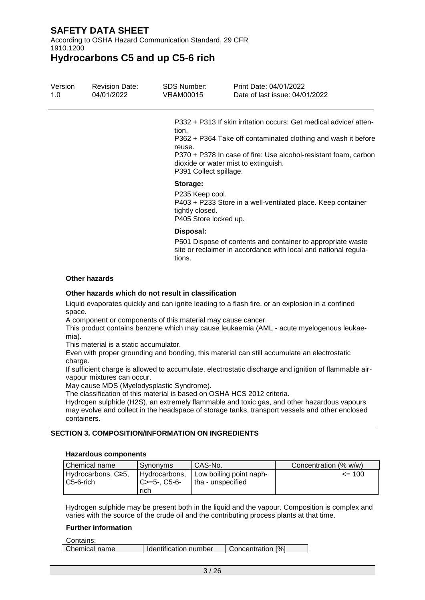According to OSHA Hazard Communication Standard, 29 CFR 1910.1200

**Hydrocarbons C5 and up C5-6 rich**

| Version<br>1.0 | <b>Revision Date:</b><br>04/01/2022 | SDS Number:<br>VRAM00015                                                          | Print Date: 04/01/2022<br>Date of last issue: 04/01/2022                                                                                                                                             |
|----------------|-------------------------------------|-----------------------------------------------------------------------------------|------------------------------------------------------------------------------------------------------------------------------------------------------------------------------------------------------|
|                |                                     | tion.<br>reuse.<br>dioxide or water mist to extinguish.<br>P391 Collect spillage. | P332 + P313 If skin irritation occurs: Get medical advice/atten-<br>P362 + P364 Take off contaminated clothing and wash it before<br>P370 + P378 In case of fire: Use alcohol-resistant foam, carbon |
|                |                                     | Storage:<br>P235 Keep cool.<br>tightly closed.<br>P405 Store locked up.           | P403 + P233 Store in a well-ventilated place. Keep container                                                                                                                                         |
|                |                                     | Disposal:<br>tions.                                                               | P501 Dispose of contents and container to appropriate waste<br>site or reclaimer in accordance with local and national regula-                                                                       |

#### **Other hazards**

#### **Other hazards which do not result in classification**

Liquid evaporates quickly and can ignite leading to a flash fire, or an explosion in a confined space.

A component or components of this material may cause cancer.

This product contains benzene which may cause leukaemia (AML - acute myelogenous leukaemia).

This material is a static accumulator.

Even with proper grounding and bonding, this material can still accumulate an electrostatic charge.

If sufficient charge is allowed to accumulate, electrostatic discharge and ignition of flammable airvapour mixtures can occur.

May cause MDS (Myelodysplastic Syndrome).

The classification of this material is based on OSHA HCS 2012 criteria.

Hydrogen sulphide (H2S), an extremely flammable and toxic gas, and other hazardous vapours may evolve and collect in the headspace of storage tanks, transport vessels and other enclosed containers.

### **SECTION 3. COMPOSITION/INFORMATION ON INGREDIENTS**

#### **Hazardous components**

| Chemical name                     | Synonyms                                | CAS-No.                                        | Concentration (% w/w) |
|-----------------------------------|-----------------------------------------|------------------------------------------------|-----------------------|
| Hydrocarbons, C≥5,<br>l C5-6-rich | Hydrocarbons,<br>$C>=5-.C5-6-$<br>rich. | Low boiling point naph-<br>I tha - unspecified | $\leq$ 100            |

Hydrogen sulphide may be present both in the liquid and the vapour. Composition is complex and varies with the source of the crude oil and the contributing process plants at that time.

#### **Further information**

| Chemical name<br>Identification number<br>Concentration [%] | Contains: |  |
|-------------------------------------------------------------|-----------|--|
|                                                             |           |  |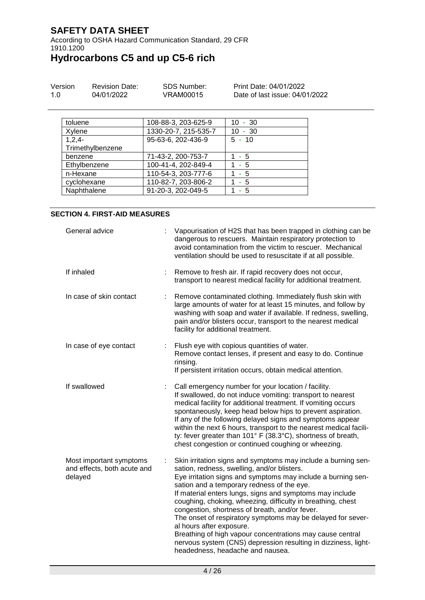According to OSHA Hazard Communication Standard, 29 CFR 1910.1200

**Hydrocarbons C5 and up C5-6 rich**

| Version | <b>Revision Date:</b> | SDS Number: | Print Date: 04/01/2022         |
|---------|-----------------------|-------------|--------------------------------|
| 1.0     | 04/01/2022            | VRAM00015   | Date of last issue: 04/01/2022 |

| toluene          | 108-88-3, 203-625-9  | $10 - 30$ |
|------------------|----------------------|-----------|
| Xylene           | 1330-20-7, 215-535-7 | $10 - 30$ |
| $1,2,4-$         | 95-63-6, 202-436-9   | $5 - 10$  |
| Trimethylbenzene |                      |           |
| benzene          | 71-43-2, 200-753-7   | $1 - 5$   |
| Ethylbenzene     | 100-41-4, 202-849-4  | - 5       |
| n-Hexane         | 110-54-3, 203-777-6  | - 5       |
| cyclohexane      | 110-82-7, 203-806-2  | - 5       |
| Naphthalene      | 91-20-3, 202-049-5   | - 5       |

#### **SECTION 4. FIRST-AID MEASURES**

| General advice                                                    | Vapourisation of H2S that has been trapped in clothing can be<br>dangerous to rescuers. Maintain respiratory protection to<br>avoid contamination from the victim to rescuer. Mechanical<br>ventilation should be used to resuscitate if at all possible.                                                                                                                                                                                                                                                                                                                                                                                                             |
|-------------------------------------------------------------------|-----------------------------------------------------------------------------------------------------------------------------------------------------------------------------------------------------------------------------------------------------------------------------------------------------------------------------------------------------------------------------------------------------------------------------------------------------------------------------------------------------------------------------------------------------------------------------------------------------------------------------------------------------------------------|
| If inhaled<br>÷                                                   | Remove to fresh air. If rapid recovery does not occur,<br>transport to nearest medical facility for additional treatment.                                                                                                                                                                                                                                                                                                                                                                                                                                                                                                                                             |
| In case of skin contact<br>÷                                      | Remove contaminated clothing. Immediately flush skin with<br>large amounts of water for at least 15 minutes, and follow by<br>washing with soap and water if available. If redness, swelling,<br>pain and/or blisters occur, transport to the nearest medical<br>facility for additional treatment.                                                                                                                                                                                                                                                                                                                                                                   |
| In case of eye contact                                            | Flush eye with copious quantities of water.<br>Remove contact lenses, if present and easy to do. Continue<br>rinsing.<br>If persistent irritation occurs, obtain medical attention.                                                                                                                                                                                                                                                                                                                                                                                                                                                                                   |
| If swallowed<br>÷                                                 | Call emergency number for your location / facility.<br>If swallowed, do not induce vomiting: transport to nearest<br>medical facility for additional treatment. If vomiting occurs<br>spontaneously, keep head below hips to prevent aspiration.<br>If any of the following delayed signs and symptoms appear<br>within the next 6 hours, transport to the nearest medical facili-<br>ty: fever greater than 101° F (38.3°C), shortness of breath,<br>chest congestion or continued coughing or wheezing.                                                                                                                                                             |
| Most important symptoms<br>and effects, both acute and<br>delayed | Skin irritation signs and symptoms may include a burning sen-<br>sation, redness, swelling, and/or blisters.<br>Eye irritation signs and symptoms may include a burning sen-<br>sation and a temporary redness of the eye.<br>If material enters lungs, signs and symptoms may include<br>coughing, choking, wheezing, difficulty in breathing, chest<br>congestion, shortness of breath, and/or fever.<br>The onset of respiratory symptoms may be delayed for sever-<br>al hours after exposure.<br>Breathing of high vapour concentrations may cause central<br>nervous system (CNS) depression resulting in dizziness, light-<br>headedness, headache and nausea. |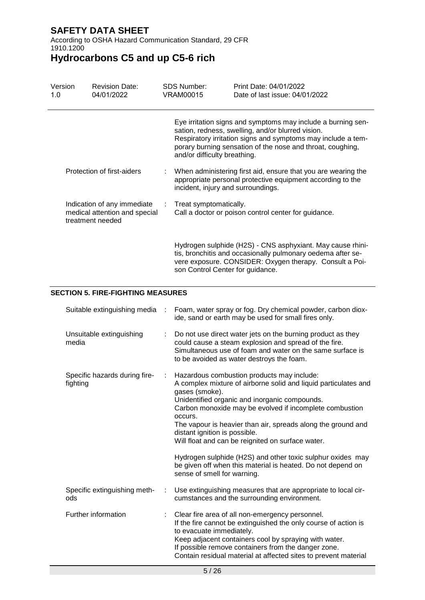According to OSHA Hazard Communication Standard, 29 CFR 1910.1200

# **Hydrocarbons C5 and up C5-6 rich**

| Version<br>1.0 |                                                                                  | <b>Revision Date:</b><br>04/01/2022 |  | <b>SDS Number:</b><br><b>VRAM00015</b> | Print Date: 04/01/2022<br>Date of last issue: 04/01/2022                                                                                                                                                                                        |
|----------------|----------------------------------------------------------------------------------|-------------------------------------|--|----------------------------------------|-------------------------------------------------------------------------------------------------------------------------------------------------------------------------------------------------------------------------------------------------|
|                |                                                                                  |                                     |  | and/or difficulty breathing.           | Eye irritation signs and symptoms may include a burning sen-<br>sation, redness, swelling, and/or blurred vision.<br>Respiratory irritation signs and symptoms may include a tem-<br>porary burning sensation of the nose and throat, coughing, |
|                |                                                                                  | Protection of first-aiders          |  | incident, injury and surroundings.     | When administering first aid, ensure that you are wearing the<br>appropriate personal protective equipment according to the                                                                                                                     |
|                | Indication of any immediate<br>medical attention and special<br>treatment needed |                                     |  | Treat symptomatically.                 | Call a doctor or poison control center for guidance.                                                                                                                                                                                            |
|                |                                                                                  |                                     |  | son Control Center for guidance.       | Hydrogen sulphide (H2S) - CNS asphyxiant. May cause rhini-<br>tis, bronchitis and occasionally pulmonary oedema after se-<br>vere exposure. CONSIDER: Oxygen therapy. Consult a Poi-                                                            |
|                | <b>SECTION 5. FIRE-FIGHTING MEASURES</b>                                         |                                     |  |                                        |                                                                                                                                                                                                                                                 |
|                |                                                                                  | Suitable extinguishing media        |  |                                        | Foam, water spray or fog. Dry chemical powder, carbon diox-<br>ide, sand or earth may be used for small fires only.                                                                                                                             |
|                |                                                                                  | Unsuitable extinguishing            |  |                                        | Do not use direct water jets on the burning product as they                                                                                                                                                                                     |

| Unsuitable extinguishing<br>media |  | : Do not use direct water jets on the burning product as they<br>could cause a steam explosion and spread of the fire.<br>Simultaneous use of foam and water on the same surface is<br>to be avoided as water destroys the foam. |
|-----------------------------------|--|----------------------------------------------------------------------------------------------------------------------------------------------------------------------------------------------------------------------------------|
|-----------------------------------|--|----------------------------------------------------------------------------------------------------------------------------------------------------------------------------------------------------------------------------------|

| Specific hazards during fire-<br>fighting | $\mathcal{L}^{\mathcal{L}}$ . | Hazardous combustion products may include:<br>A complex mixture of airborne solid and liquid particulates and<br>gases (smoke).<br>Unidentified organic and inorganic compounds.<br>Carbon monoxide may be evolved if incomplete combustion<br>occurs.<br>The vapour is heavier than air, spreads along the ground and<br>distant ignition is possible.<br>Will float and can be reignited on surface water.<br>Hydrogen sulphide (H2S) and other toxic sulphur oxides may<br>be given off when this material is heated. Do not depend on<br>sense of smell for warning. |
|-------------------------------------------|-------------------------------|--------------------------------------------------------------------------------------------------------------------------------------------------------------------------------------------------------------------------------------------------------------------------------------------------------------------------------------------------------------------------------------------------------------------------------------------------------------------------------------------------------------------------------------------------------------------------|
| Specific extinguishing meth-<br>ods       |                               | : Use extinguishing measures that are appropriate to local cir-<br>cumstances and the surrounding environment.                                                                                                                                                                                                                                                                                                                                                                                                                                                           |
| Further information                       |                               | : Clear fire area of all non-emergency personnel.<br>If the fire cannot be extinguished the only course of action is<br>to evacuate immediately.<br>Keep adjacent containers cool by spraying with water.                                                                                                                                                                                                                                                                                                                                                                |

If possible remove containers from the danger zone.

Contain residual material at affected sites to prevent material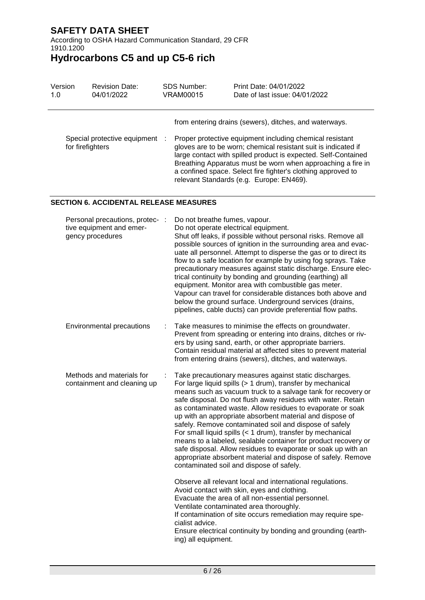According to OSHA Hazard Communication Standard, 29 CFR 1910.1200

**Hydrocarbons C5 and up C5-6 rich**

| Version | <b>Revision Date:</b>                              | SDS Number: | Print Date: 04/01/2022                                                                                                                                                                                                                                                                                                                                                                                                            |
|---------|----------------------------------------------------|-------------|-----------------------------------------------------------------------------------------------------------------------------------------------------------------------------------------------------------------------------------------------------------------------------------------------------------------------------------------------------------------------------------------------------------------------------------|
| 1.0     | 04/01/2022                                         | VRAM00015   | Date of last issue: 04/01/2022                                                                                                                                                                                                                                                                                                                                                                                                    |
|         | Special protective equipment :<br>for firefighters |             | from entering drains (sewers), ditches, and waterways.<br>Proper protective equipment including chemical resistant<br>gloves are to be worn; chemical resistant suit is indicated if<br>large contact with spilled product is expected. Self-Contained<br>Breathing Apparatus must be worn when approaching a fire in<br>a confined space. Select fire fighter's clothing approved to<br>relevant Standards (e.g. Europe: EN469). |

### **SECTION 6. ACCIDENTAL RELEASE MEASURES**

| Personal precautions, protec- :<br>tive equipment and emer-<br>gency procedures |   | Do not breathe fumes, vapour.<br>Do not operate electrical equipment.<br>Shut off leaks, if possible without personal risks. Remove all<br>possible sources of ignition in the surrounding area and evac-<br>uate all personnel. Attempt to disperse the gas or to direct its<br>flow to a safe location for example by using fog sprays. Take<br>precautionary measures against static discharge. Ensure elec-<br>trical continuity by bonding and grounding (earthing) all<br>equipment. Monitor area with combustible gas meter.<br>Vapour can travel for considerable distances both above and<br>below the ground surface. Underground services (drains,<br>pipelines, cable ducts) can provide preferential flow paths.                         |
|---------------------------------------------------------------------------------|---|-------------------------------------------------------------------------------------------------------------------------------------------------------------------------------------------------------------------------------------------------------------------------------------------------------------------------------------------------------------------------------------------------------------------------------------------------------------------------------------------------------------------------------------------------------------------------------------------------------------------------------------------------------------------------------------------------------------------------------------------------------|
| Environmental precautions                                                       | ÷ | Take measures to minimise the effects on groundwater.<br>Prevent from spreading or entering into drains, ditches or riv-<br>ers by using sand, earth, or other appropriate barriers.<br>Contain residual material at affected sites to prevent material<br>from entering drains (sewers), ditches, and waterways.                                                                                                                                                                                                                                                                                                                                                                                                                                     |
| Methods and materials for<br>containment and cleaning up                        |   | Take precautionary measures against static discharges.<br>For large liquid spills (> 1 drum), transfer by mechanical<br>means such as vacuum truck to a salvage tank for recovery or<br>safe disposal. Do not flush away residues with water. Retain<br>as contaminated waste. Allow residues to evaporate or soak<br>up with an appropriate absorbent material and dispose of<br>safely. Remove contaminated soil and dispose of safely<br>For small liquid spills (< 1 drum), transfer by mechanical<br>means to a labeled, sealable container for product recovery or<br>safe disposal. Allow residues to evaporate or soak up with an<br>appropriate absorbent material and dispose of safely. Remove<br>contaminated soil and dispose of safely. |
|                                                                                 |   | Observe all relevant local and international regulations.<br>Avoid contact with skin, eyes and clothing.<br>Evacuate the area of all non-essential personnel.<br>Ventilate contaminated area thoroughly.<br>If contamination of site occurs remediation may require spe-<br>cialist advice.<br>Ensure electrical continuity by bonding and grounding (earth-<br>ing) all equipment.                                                                                                                                                                                                                                                                                                                                                                   |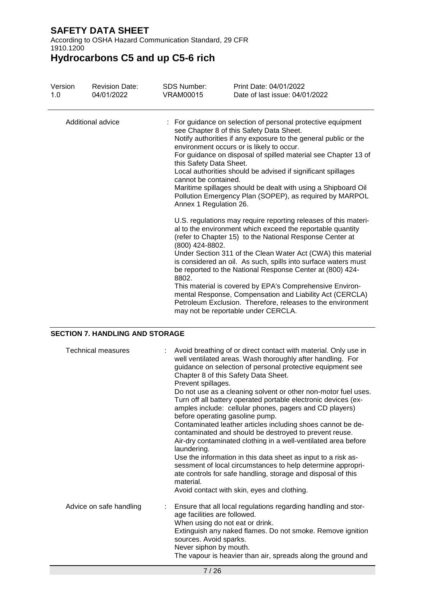According to OSHA Hazard Communication Standard, 29 CFR 1910.1200

**Hydrocarbons C5 and up C5-6 rich**

| Version<br>1.0    | <b>Revision Date:</b><br>04/01/2022 | SDS Number:<br>VRAM00015 | Print Date: 04/01/2022<br>Date of last issue: 04/01/2022                                                                                                                                                                                                                                                                                                                                                                                                                                                                                                                                                               |  |  |  |  |
|-------------------|-------------------------------------|--------------------------|------------------------------------------------------------------------------------------------------------------------------------------------------------------------------------------------------------------------------------------------------------------------------------------------------------------------------------------------------------------------------------------------------------------------------------------------------------------------------------------------------------------------------------------------------------------------------------------------------------------------|--|--|--|--|
| Additional advice |                                     |                          | : For guidance on selection of personal protective equipment<br>see Chapter 8 of this Safety Data Sheet.<br>Notify authorities if any exposure to the general public or the<br>environment occurs or is likely to occur.<br>For guidance on disposal of spilled material see Chapter 13 of<br>this Safety Data Sheet.<br>Local authorities should be advised if significant spillages<br>cannot be contained.<br>Maritime spillages should be dealt with using a Shipboard Oil<br>Pollution Emergency Plan (SOPEP), as required by MARPOL<br>Annex 1 Regulation 26.                                                    |  |  |  |  |
|                   |                                     | (800) 424-8802.<br>8802. | U.S. regulations may require reporting releases of this materi-<br>al to the environment which exceed the reportable quantity<br>(refer to Chapter 15) to the National Response Center at<br>Under Section 311 of the Clean Water Act (CWA) this material<br>is considered an oil. As such, spills into surface waters must<br>be reported to the National Response Center at (800) 424-<br>This material is covered by EPA's Comprehensive Environ-<br>mental Response, Compensation and Liability Act (CERCLA)<br>Petroleum Exclusion. Therefore, releases to the environment<br>may not be reportable under CERCLA. |  |  |  |  |

### **SECTION 7. HANDLING AND STORAGE**

| <b>Technical measures</b> | : Avoid breathing of or direct contact with material. Only use in<br>well ventilated areas. Wash thoroughly after handling. For<br>guidance on selection of personal protective equipment see<br>Chapter 8 of this Safety Data Sheet.<br>Prevent spillages.<br>Do not use as a cleaning solvent or other non-motor fuel uses.<br>Turn off all battery operated portable electronic devices (ex-<br>amples include: cellular phones, pagers and CD players)<br>before operating gasoline pump.<br>Contaminated leather articles including shoes cannot be de-<br>contaminated and should be destroyed to prevent reuse.<br>Air-dry contaminated clothing in a well-ventilated area before<br>laundering.<br>Use the information in this data sheet as input to a risk as-<br>sessment of local circumstances to help determine appropri-<br>ate controls for safe handling, storage and disposal of this<br>material. |
|---------------------------|----------------------------------------------------------------------------------------------------------------------------------------------------------------------------------------------------------------------------------------------------------------------------------------------------------------------------------------------------------------------------------------------------------------------------------------------------------------------------------------------------------------------------------------------------------------------------------------------------------------------------------------------------------------------------------------------------------------------------------------------------------------------------------------------------------------------------------------------------------------------------------------------------------------------|
|                           | Avoid contact with skin, eyes and clothing.                                                                                                                                                                                                                                                                                                                                                                                                                                                                                                                                                                                                                                                                                                                                                                                                                                                                          |
| Advice on safe handling   | Ensure that all local regulations regarding handling and stor-<br>age facilities are followed.<br>When using do not eat or drink.<br>Extinguish any naked flames. Do not smoke. Remove ignition<br>sources. Avoid sparks.<br>Never siphon by mouth.<br>The vapour is heavier than air, spreads along the ground and                                                                                                                                                                                                                                                                                                                                                                                                                                                                                                                                                                                                  |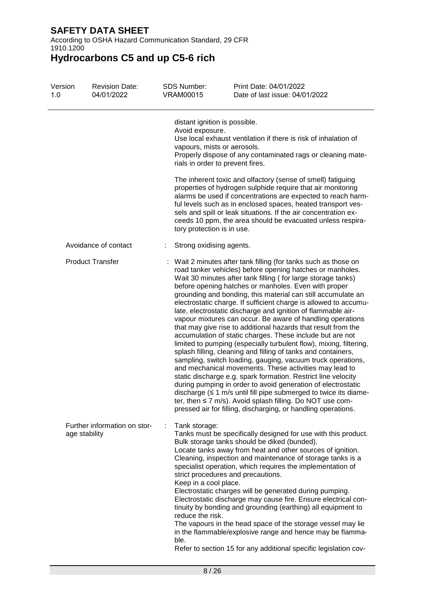According to OSHA Hazard Communication Standard, 29 CFR 1910.1200

| Version<br>1.0 | <b>Revision Date:</b><br>04/01/2022           |      | <b>SDS Number:</b><br><b>VRAM00015</b>                                                                              | Print Date: 04/01/2022<br>Date of last issue: 04/01/2022                                                                                                                                                                                                                                                                                                                                                                                                                                                                                                                                                                                                                                                                                                                                                                                                                                                                                                                                                                                                                                                                                                                                                                                                            |
|----------------|-----------------------------------------------|------|---------------------------------------------------------------------------------------------------------------------|---------------------------------------------------------------------------------------------------------------------------------------------------------------------------------------------------------------------------------------------------------------------------------------------------------------------------------------------------------------------------------------------------------------------------------------------------------------------------------------------------------------------------------------------------------------------------------------------------------------------------------------------------------------------------------------------------------------------------------------------------------------------------------------------------------------------------------------------------------------------------------------------------------------------------------------------------------------------------------------------------------------------------------------------------------------------------------------------------------------------------------------------------------------------------------------------------------------------------------------------------------------------|
|                |                                               |      | distant ignition is possible.<br>Avoid exposure.<br>vapours, mists or aerosols.<br>rials in order to prevent fires. | Use local exhaust ventilation if there is risk of inhalation of<br>Properly dispose of any contaminated rags or cleaning mate-                                                                                                                                                                                                                                                                                                                                                                                                                                                                                                                                                                                                                                                                                                                                                                                                                                                                                                                                                                                                                                                                                                                                      |
|                |                                               |      | tory protection is in use.                                                                                          | The inherent toxic and olfactory (sense of smell) fatiguing<br>properties of hydrogen sulphide require that air monitoring<br>alarms be used if concentrations are expected to reach harm-<br>ful levels such as in enclosed spaces, heated transport ves-<br>sels and spill or leak situations. If the air concentration ex-<br>ceeds 10 ppm, the area should be evacuated unless respira-                                                                                                                                                                                                                                                                                                                                                                                                                                                                                                                                                                                                                                                                                                                                                                                                                                                                         |
|                | Avoidance of contact                          |      | Strong oxidising agents.                                                                                            |                                                                                                                                                                                                                                                                                                                                                                                                                                                                                                                                                                                                                                                                                                                                                                                                                                                                                                                                                                                                                                                                                                                                                                                                                                                                     |
|                | <b>Product Transfer</b>                       |      |                                                                                                                     | Wait 2 minutes after tank filling (for tanks such as those on<br>road tanker vehicles) before opening hatches or manholes.<br>Wait 30 minutes after tank filling (for large storage tanks)<br>before opening hatches or manholes. Even with proper<br>grounding and bonding, this material can still accumulate an<br>electrostatic charge. If sufficient charge is allowed to accumu-<br>late, electrostatic discharge and ignition of flammable air-<br>vapour mixtures can occur. Be aware of handling operations<br>that may give rise to additional hazards that result from the<br>accumulation of static charges. These include but are not<br>limited to pumping (especially turbulent flow), mixing, filtering,<br>splash filling, cleaning and filling of tanks and containers,<br>sampling, switch loading, gauging, vacuum truck operations,<br>and mechanical movements. These activities may lead to<br>static discharge e.g. spark formation. Restrict line velocity<br>during pumping in order to avoid generation of electrostatic<br>discharge $( \leq 1 \text{ m/s}$ until fill pipe submerged to twice its diame-<br>ter, then ≤ 7 m/s). Avoid splash filling. Do NOT use com-<br>pressed air for filling, discharging, or handling operations. |
|                | Further information on stor-<br>age stability | ble. | Tank storage:<br>Keep in a cool place.<br>reduce the risk.                                                          | Tanks must be specifically designed for use with this product.<br>Bulk storage tanks should be diked (bunded).<br>Locate tanks away from heat and other sources of ignition.<br>Cleaning, inspection and maintenance of storage tanks is a<br>specialist operation, which requires the implementation of<br>strict procedures and precautions.<br>Electrostatic charges will be generated during pumping.<br>Electrostatic discharge may cause fire. Ensure electrical con-<br>tinuity by bonding and grounding (earthing) all equipment to<br>The vapours in the head space of the storage vessel may lie<br>in the flammable/explosive range and hence may be flamma-<br>Refer to section 15 for any additional specific legislation cov-                                                                                                                                                                                                                                                                                                                                                                                                                                                                                                                         |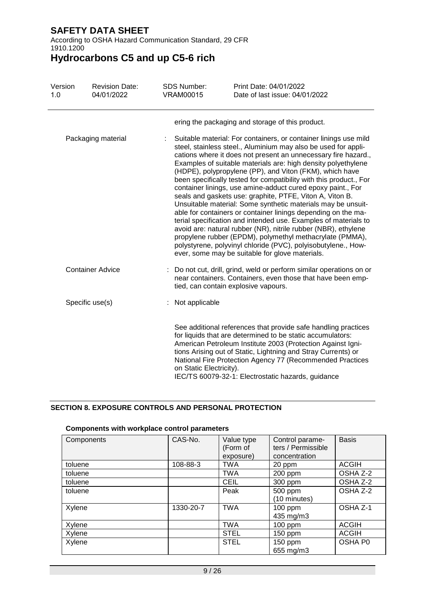According to OSHA Hazard Communication Standard, 29 CFR 1910.1200

**Hydrocarbons C5 and up C5-6 rich**

| Version<br>1.0 | <b>Revision Date:</b><br>04/01/2022 | <b>SDS Number:</b><br>VRAM00015 | Print Date: 04/01/2022<br>Date of last issue: 04/01/2022                                                                                                                                                                                                                                                                                                                                                                                                                                                                                                                                                                                                                                                                                                                                                                                                                                                                                                                                |
|----------------|-------------------------------------|---------------------------------|-----------------------------------------------------------------------------------------------------------------------------------------------------------------------------------------------------------------------------------------------------------------------------------------------------------------------------------------------------------------------------------------------------------------------------------------------------------------------------------------------------------------------------------------------------------------------------------------------------------------------------------------------------------------------------------------------------------------------------------------------------------------------------------------------------------------------------------------------------------------------------------------------------------------------------------------------------------------------------------------|
|                |                                     |                                 | ering the packaging and storage of this product.                                                                                                                                                                                                                                                                                                                                                                                                                                                                                                                                                                                                                                                                                                                                                                                                                                                                                                                                        |
|                | Packaging material                  |                                 | Suitable material: For containers, or container linings use mild<br>steel, stainless steel., Aluminium may also be used for appli-<br>cations where it does not present an unnecessary fire hazard.,<br>Examples of suitable materials are: high density polyethylene<br>(HDPE), polypropylene (PP), and Viton (FKM), which have<br>been specifically tested for compatibility with this product., For<br>container linings, use amine-adduct cured epoxy paint., For<br>seals and gaskets use: graphite, PTFE, Viton A, Viton B.<br>Unsuitable material: Some synthetic materials may be unsuit-<br>able for containers or container linings depending on the ma-<br>terial specification and intended use. Examples of materials to<br>avoid are: natural rubber (NR), nitrile rubber (NBR), ethylene<br>propylene rubber (EPDM), polymethyl methacrylate (PMMA),<br>polystyrene, polyvinyl chloride (PVC), polyisobutylene., How-<br>ever, some may be suitable for glove materials. |
|                | <b>Container Advice</b>             |                                 | Do not cut, drill, grind, weld or perform similar operations on or<br>near containers. Containers, even those that have been emp-<br>tied, can contain explosive vapours.                                                                                                                                                                                                                                                                                                                                                                                                                                                                                                                                                                                                                                                                                                                                                                                                               |
|                | Specific use(s)                     | Not applicable                  |                                                                                                                                                                                                                                                                                                                                                                                                                                                                                                                                                                                                                                                                                                                                                                                                                                                                                                                                                                                         |
|                |                                     | on Static Electricity).         | See additional references that provide safe handling practices<br>for liquids that are determined to be static accumulators:<br>American Petroleum Institute 2003 (Protection Against Igni-<br>tions Arising out of Static, Lightning and Stray Currents) or<br>National Fire Protection Agency 77 (Recommended Practices<br>IEC/TS 60079-32-1: Electrostatic hazards, guidance                                                                                                                                                                                                                                                                                                                                                                                                                                                                                                                                                                                                         |

### **SECTION 8. EXPOSURE CONTROLS AND PERSONAL PROTECTION**

### **Components with workplace control parameters**

| Components | CAS-No.   | Value type<br>(Form of<br>exposure) | Control parame-<br>ters / Permissible<br>concentration | <b>Basis</b> |
|------------|-----------|-------------------------------------|--------------------------------------------------------|--------------|
| toluene    | 108-88-3  | <b>TWA</b>                          | 20 ppm                                                 | <b>ACGIH</b> |
| toluene    |           | <b>TWA</b>                          | 200 ppm                                                | OSHA Z-2     |
| toluene    |           | <b>CEIL</b>                         | 300 ppm                                                | OSHA Z-2     |
| toluene    |           | Peak                                | 500 ppm<br>(10 minutes)                                | OSHA Z-2     |
| Xylene     | 1330-20-7 | <b>TWA</b>                          | 100 ppm<br>435 mg/m3                                   | OSHA Z-1     |
| Xylene     |           | <b>TWA</b>                          | $100$ ppm                                              | <b>ACGIH</b> |
| Xylene     |           | <b>STEL</b>                         | 150 ppm                                                | <b>ACGIH</b> |
| Xylene     |           | <b>STEL</b>                         | 150 ppm<br>655 mg/m3                                   | OSHA P0      |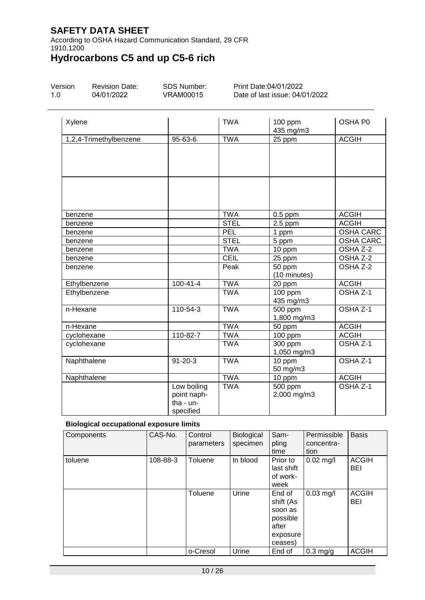According to OSHA Hazard Communication Standard, 29 CFR 1910.1200

# **Hydrocarbons C5 and up C5-6 rich**

| Version | <b>Revision Date:</b> |
|---------|-----------------------|
| 1.0     | 04/01/2022            |

SDS Number: VRAM00015

Print Date:04/01/2022 Date of last issue: 04/01/2022

| Xylene                 |                                                      | <b>TWA</b>  | 100 ppm<br>435 mg/m3                | OSHA P0             |
|------------------------|------------------------------------------------------|-------------|-------------------------------------|---------------------|
| 1,2,4-Trimethylbenzene | 95-63-6                                              | <b>TWA</b>  | 25 ppm                              | <b>ACGIH</b>        |
|                        |                                                      |             |                                     |                     |
|                        |                                                      |             |                                     |                     |
|                        |                                                      |             |                                     |                     |
| benzene                |                                                      | <b>TWA</b>  | $0.5$ ppm                           | <b>ACGIH</b>        |
| benzene                |                                                      | <b>STEL</b> | $2.5$ ppm                           | <b>ACGIH</b>        |
| benzene                |                                                      | <b>PEL</b>  | 1 ppm                               | <b>OSHA CARC</b>    |
| benzene                |                                                      | <b>STEL</b> | 5 ppm                               | <b>OSHA CARC</b>    |
| benzene                |                                                      | <b>TWA</b>  | 10 ppm                              | OSHA Z-2            |
| benzene                |                                                      | <b>CEIL</b> | 25 ppm                              | OSHA Z-2            |
| benzene                |                                                      | Peak        | 50 ppm<br>(10 minutes)              | OSHA Z-2            |
| Ethylbenzene           | $100 - 41 - 4$                                       | <b>TWA</b>  | 20 ppm                              | <b>ACGIH</b>        |
| Ethylbenzene           |                                                      | <b>TWA</b>  | 100 ppm<br>435 mg/m3                | OSHA Z-1            |
| n-Hexane               | 110-54-3                                             | <b>TWA</b>  | 500 ppm<br>1,800 mg/m3              | OSHA Z-1            |
| n-Hexane               |                                                      | <b>TWA</b>  | 50 ppm                              | <b>ACGIH</b>        |
| cyclohexane            | 110-82-7                                             | <b>TWA</b>  | 100 ppm                             | <b>ACGIH</b>        |
| cyclohexane            |                                                      | <b>TWA</b>  | 300 ppm<br>1,050 mg/m3              | OSHA <sub>Z-1</sub> |
| Naphthalene            | $\overline{9}$ 1-20-3                                | <b>TWA</b>  | 10 ppm<br>50 mg/m3                  | OSHA Z-1            |
| Naphthalene            |                                                      | <b>TWA</b>  | 10 ppm                              | <b>ACGIH</b>        |
|                        | Low boiling<br>point naph-<br>tha - un-<br>specified | <b>TWA</b>  | $\overline{500}$ ppm<br>2,000 mg/m3 | OSHA Z-1            |

### **Biological occupational exposure limits**

| Components | CAS-No.  | Control<br>parameters | Biological<br>specimen | Sam-<br>pling<br>time                                                      | Permissible<br>concentra-<br>tion | <b>Basis</b>               |
|------------|----------|-----------------------|------------------------|----------------------------------------------------------------------------|-----------------------------------|----------------------------|
| toluene    | 108-88-3 | Toluene               | In blood               | Prior to<br>last shift<br>of work-<br>week                                 | $0.02$ mg/l                       | <b>ACGIH</b><br>BEI        |
|            |          | Toluene               | Urine                  | End of<br>shift (As<br>soon as<br>possible<br>after<br>exposure<br>ceases) | $0.03$ mg/l                       | <b>ACGIH</b><br><b>BEI</b> |
|            |          | o-Cresol              | Urine                  | End of                                                                     | $0.3$ mg/g                        | <b>ACGIH</b>               |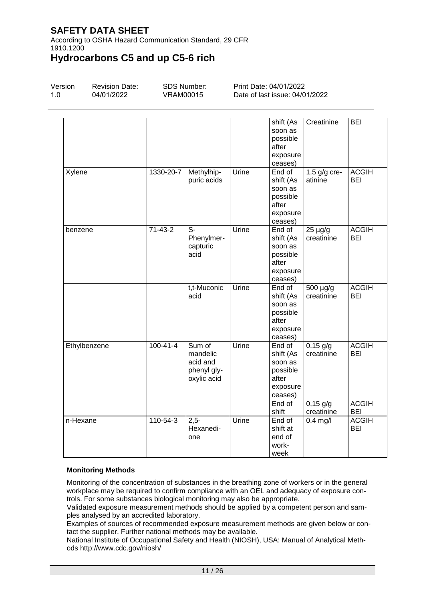According to OSHA Hazard Communication Standard, 29 CFR 1910.1200

# **Hydrocarbons C5 and up C5-6 rich**

| Version<br>1.0 | <b>Revision Date:</b><br>04/01/2022 | <b>VRAM00015</b> | SDS Number:                                                  |       | Print Date: 04/01/2022<br>Date of last issue: 04/01/2022                             |                                        |                                     |
|----------------|-------------------------------------|------------------|--------------------------------------------------------------|-------|--------------------------------------------------------------------------------------|----------------------------------------|-------------------------------------|
|                |                                     |                  |                                                              |       | shift (As<br>soon as<br>possible<br>after<br>exposure<br>ceases)                     | Creatinine                             | <b>BEI</b>                          |
| Xylene         |                                     | 1330-20-7        | Methylhip-<br>puric acids                                    | Urine | End of<br>shift (As<br>soon as<br>possible<br>after<br>exposure<br>ceases)           | 1.5 $g/g$ cre-<br>atinine              | <b>ACGIH</b><br>BEI                 |
| benzene        |                                     | $71-43-2$        | S-<br>Phenylmer-<br>capturic<br>acid                         | Urine | End of<br>shift (As<br>soon as<br>possible<br>after<br>exposure<br>ceases)           | $25 \mu g/g$<br>creatinine             | <b>ACGIH</b><br><b>BEI</b>          |
|                |                                     |                  | t,t-Muconic<br>acid                                          | Urine | End of<br>shift (As<br>soon as<br>possible<br>after<br>exposure<br>ceases)           | 500 µg/g<br>creatinine                 | <b>ACGIH</b><br>BEI                 |
|                | Ethylbenzene                        | $100 - 41 - 4$   | Sum of<br>mandelic<br>acid and<br>phenyl gly-<br>oxylic acid | Urine | End of<br>shift (As<br>soon as<br>possible<br>after<br>exposure<br>ceases)<br>End of | $0.15$ g/g<br>creatinine<br>$0,15$ g/g | <b>ACGIH</b><br>BEI<br><b>ACGIH</b> |
| n-Hexane       |                                     | 110-54-3         | $2,5-$<br>Hexanedi-<br>one                                   | Urine | shift<br>End of<br>shift at<br>end of<br>work-<br>week                               | creatinine<br>$0.4$ mg/l               | BEI<br><b>ACGIH</b><br><b>BEI</b>   |

#### **Monitoring Methods**

Monitoring of the concentration of substances in the breathing zone of workers or in the general workplace may be required to confirm compliance with an OEL and adequacy of exposure controls. For some substances biological monitoring may also be appropriate.

Validated exposure measurement methods should be applied by a competent person and samples analysed by an accredited laboratory.

Examples of sources of recommended exposure measurement methods are given below or contact the supplier. Further national methods may be available.

National Institute of Occupational Safety and Health (NIOSH), USA: Manual of Analytical Methods http://www.cdc.gov/niosh/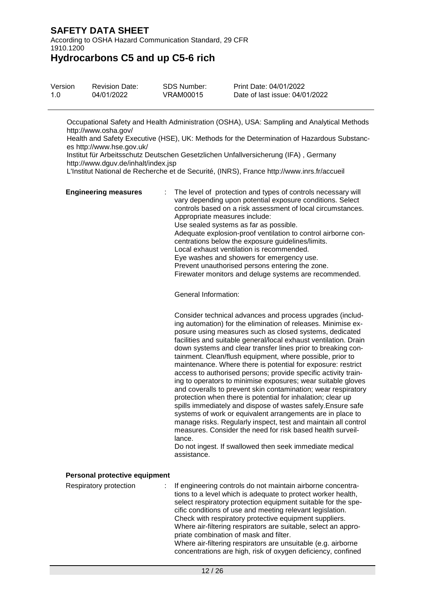According to OSHA Hazard Communication Standard, 29 CFR 1910.1200

**Hydrocarbons C5 and up C5-6 rich**

| Version | <b>Revision Date:</b> | SDS Number: | Print Date: 04/01/2022         |
|---------|-----------------------|-------------|--------------------------------|
| 1.0     | 04/01/2022            | VRAM00015   | Date of last issue: 04/01/2022 |

Occupational Safety and Health Administration (OSHA), USA: Sampling and Analytical Methods http://www.osha.gov/

Health and Safety Executive (HSE), UK: Methods for the Determination of Hazardous Substances http://www.hse.gov.uk/

Institut für Arbeitsschutz Deutschen Gesetzlichen Unfallversicherung (IFA) , Germany http://www.dguv.de/inhalt/index.jsp

L'Institut National de Recherche et de Securité, (INRS), France http://www.inrs.fr/accueil

| <b>Engineering measures</b> | : The level of protection and types of controls necessary will<br>vary depending upon potential exposure conditions. Select<br>controls based on a risk assessment of local circumstances.<br>Appropriate measures include:<br>Use sealed systems as far as possible.<br>Adequate explosion-proof ventilation to control airborne con-<br>centrations below the exposure guidelines/limits.<br>Local exhaust ventilation is recommended.<br>Eye washes and showers for emergency use.<br>Prevent unauthorised persons entering the zone.<br>Firewater monitors and deluge systems are recommended. |
|-----------------------------|----------------------------------------------------------------------------------------------------------------------------------------------------------------------------------------------------------------------------------------------------------------------------------------------------------------------------------------------------------------------------------------------------------------------------------------------------------------------------------------------------------------------------------------------------------------------------------------------------|
|                             | General Information:                                                                                                                                                                                                                                                                                                                                                                                                                                                                                                                                                                               |

Consider technical advances and process upgrades (including automation) for the elimination of releases. Minimise exposure using measures such as closed systems, dedicated facilities and suitable general/local exhaust ventilation. Drain down systems and clear transfer lines prior to breaking containment. Clean/flush equipment, where possible, prior to maintenance. Where there is potential for exposure: restrict access to authorised persons; provide specific activity training to operators to minimise exposures; wear suitable gloves and coveralls to prevent skin contamination; wear respiratory protection when there is potential for inhalation; clear up spills immediately and dispose of wastes safely.Ensure safe systems of work or equivalent arrangements are in place to manage risks. Regularly inspect, test and maintain all control measures. Consider the need for risk based health surveillance.

Do not ingest. If swallowed then seek immediate medical assistance.

#### **Personal protective equipment**

Respiratory protection : If engineering controls do not maintain airborne concentrations to a level which is adequate to protect worker health, select respiratory protection equipment suitable for the specific conditions of use and meeting relevant legislation. Check with respiratory protective equipment suppliers. Where air-filtering respirators are suitable, select an appropriate combination of mask and filter. Where air-filtering respirators are unsuitable (e.g. airborne concentrations are high, risk of oxygen deficiency, confined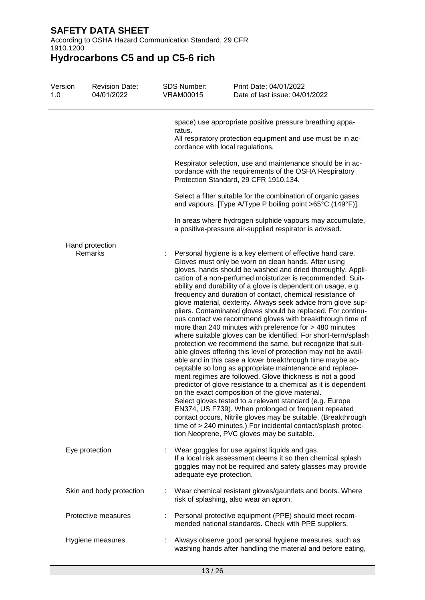According to OSHA Hazard Communication Standard, 29 CFR 1910.1200

| Version<br>1.0 | <b>Revision Date:</b><br>04/01/2022 | <b>SDS Number:</b><br><b>VRAM00015</b>     | Print Date: 04/01/2022<br>Date of last issue: 04/01/2022                                                                                                                                                                                                                                                                                                                                                                                                                                                                                                                                                                                                                                                                                                                                                                                                                                                                                                                                                                                                                                                                                                                                                                                                                                                                                                                                                                                               |
|----------------|-------------------------------------|--------------------------------------------|--------------------------------------------------------------------------------------------------------------------------------------------------------------------------------------------------------------------------------------------------------------------------------------------------------------------------------------------------------------------------------------------------------------------------------------------------------------------------------------------------------------------------------------------------------------------------------------------------------------------------------------------------------------------------------------------------------------------------------------------------------------------------------------------------------------------------------------------------------------------------------------------------------------------------------------------------------------------------------------------------------------------------------------------------------------------------------------------------------------------------------------------------------------------------------------------------------------------------------------------------------------------------------------------------------------------------------------------------------------------------------------------------------------------------------------------------------|
|                |                                     | ratus.<br>cordance with local regulations. | space) use appropriate positive pressure breathing appa-<br>All respiratory protection equipment and use must be in ac-                                                                                                                                                                                                                                                                                                                                                                                                                                                                                                                                                                                                                                                                                                                                                                                                                                                                                                                                                                                                                                                                                                                                                                                                                                                                                                                                |
|                |                                     |                                            | Respirator selection, use and maintenance should be in ac-<br>cordance with the requirements of the OSHA Respiratory<br>Protection Standard, 29 CFR 1910.134.                                                                                                                                                                                                                                                                                                                                                                                                                                                                                                                                                                                                                                                                                                                                                                                                                                                                                                                                                                                                                                                                                                                                                                                                                                                                                          |
|                |                                     |                                            | Select a filter suitable for the combination of organic gases<br>and vapours [Type A/Type P boiling point >65°C (149°F)].                                                                                                                                                                                                                                                                                                                                                                                                                                                                                                                                                                                                                                                                                                                                                                                                                                                                                                                                                                                                                                                                                                                                                                                                                                                                                                                              |
|                |                                     |                                            | In areas where hydrogen sulphide vapours may accumulate,<br>a positive-pressure air-supplied respirator is advised.                                                                                                                                                                                                                                                                                                                                                                                                                                                                                                                                                                                                                                                                                                                                                                                                                                                                                                                                                                                                                                                                                                                                                                                                                                                                                                                                    |
|                | Hand protection<br>Remarks          |                                            | Personal hygiene is a key element of effective hand care.<br>Gloves must only be worn on clean hands. After using<br>gloves, hands should be washed and dried thoroughly. Appli-<br>cation of a non-perfumed moisturizer is recommended. Suit-<br>ability and durability of a glove is dependent on usage, e.g.<br>frequency and duration of contact, chemical resistance of<br>glove material, dexterity. Always seek advice from glove sup-<br>pliers. Contaminated gloves should be replaced. For continu-<br>ous contact we recommend gloves with breakthrough time of<br>more than 240 minutes with preference for > 480 minutes<br>where suitable gloves can be identified. For short-term/splash<br>protection we recommend the same, but recognize that suit-<br>able gloves offering this level of protection may not be avail-<br>able and in this case a lower breakthrough time maybe ac-<br>ceptable so long as appropriate maintenance and replace-<br>ment regimes are followed. Glove thickness is not a good<br>predictor of glove resistance to a chemical as it is dependent<br>on the exact composition of the glove material.<br>Select gloves tested to a relevant standard (e.g. Europe<br>EN374, US F739). When prolonged or frequent repeated<br>contact occurs, Nitrile gloves may be suitable. (Breakthrough<br>time of > 240 minutes.) For incidental contact/splash protec-<br>tion Neoprene, PVC gloves may be suitable. |
|                | Eye protection                      | adequate eye protection.                   | Wear goggles for use against liquids and gas.<br>If a local risk assessment deems it so then chemical splash<br>goggles may not be required and safety glasses may provide                                                                                                                                                                                                                                                                                                                                                                                                                                                                                                                                                                                                                                                                                                                                                                                                                                                                                                                                                                                                                                                                                                                                                                                                                                                                             |
|                | Skin and body protection            |                                            | Wear chemical resistant gloves/gauntlets and boots. Where<br>risk of splashing, also wear an apron.                                                                                                                                                                                                                                                                                                                                                                                                                                                                                                                                                                                                                                                                                                                                                                                                                                                                                                                                                                                                                                                                                                                                                                                                                                                                                                                                                    |
|                | Protective measures                 |                                            | Personal protective equipment (PPE) should meet recom-<br>mended national standards. Check with PPE suppliers.                                                                                                                                                                                                                                                                                                                                                                                                                                                                                                                                                                                                                                                                                                                                                                                                                                                                                                                                                                                                                                                                                                                                                                                                                                                                                                                                         |
|                | Hygiene measures                    |                                            | Always observe good personal hygiene measures, such as<br>washing hands after handling the material and before eating,                                                                                                                                                                                                                                                                                                                                                                                                                                                                                                                                                                                                                                                                                                                                                                                                                                                                                                                                                                                                                                                                                                                                                                                                                                                                                                                                 |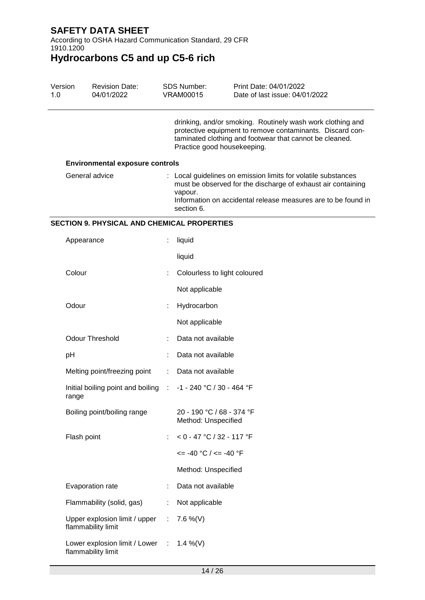According to OSHA Hazard Communication Standard, 29 CFR 1910.1200

| Version<br>1.0 | <b>Revision Date:</b><br>04/01/2022                   | <b>SDS Number:</b><br><b>VRAM00015</b>           | Print Date: 04/01/2022<br>Date of last issue: 04/01/2022                                                                                                                                       |
|----------------|-------------------------------------------------------|--------------------------------------------------|------------------------------------------------------------------------------------------------------------------------------------------------------------------------------------------------|
|                |                                                       | Practice good housekeeping.                      | drinking, and/or smoking. Routinely wash work clothing and<br>protective equipment to remove contaminants. Discard con-<br>taminated clothing and footwear that cannot be cleaned.             |
|                | <b>Environmental exposure controls</b>                |                                                  |                                                                                                                                                                                                |
|                | General advice                                        | vapour.<br>section 6.                            | : Local guidelines on emission limits for volatile substances<br>must be observed for the discharge of exhaust air containing<br>Information on accidental release measures are to be found in |
|                | <b>SECTION 9. PHYSICAL AND CHEMICAL PROPERTIES</b>    |                                                  |                                                                                                                                                                                                |
|                | Appearance                                            | liquid                                           |                                                                                                                                                                                                |
|                |                                                       | liquid                                           |                                                                                                                                                                                                |
|                | Colour                                                | Colourless to light coloured                     |                                                                                                                                                                                                |
|                |                                                       | Not applicable                                   |                                                                                                                                                                                                |
|                | Odour                                                 | Hydrocarbon                                      |                                                                                                                                                                                                |
|                |                                                       | Not applicable                                   |                                                                                                                                                                                                |
|                | <b>Odour Threshold</b>                                | Data not available                               |                                                                                                                                                                                                |
| рH             |                                                       | Data not available                               |                                                                                                                                                                                                |
|                | Melting point/freezing point                          | Data not available                               |                                                                                                                                                                                                |
| range          | Initial boiling point and boiling :                   | -1 - 240 °C / 30 - 464 °F                        |                                                                                                                                                                                                |
|                | Boiling point/boiling range                           | 20 - 190 °C / 68 - 374 °F<br>Method: Unspecified |                                                                                                                                                                                                |
|                | Flash point                                           | $< 0 - 47$ °C / 32 - 117 °F                      |                                                                                                                                                                                                |
|                |                                                       | $\epsilon$ = -40 °C / $\epsilon$ = -40 °F        |                                                                                                                                                                                                |
|                |                                                       | Method: Unspecified                              |                                                                                                                                                                                                |
|                | Evaporation rate                                      | Data not available                               |                                                                                                                                                                                                |
|                | Flammability (solid, gas)                             | Not applicable                                   |                                                                                                                                                                                                |
|                | Upper explosion limit / upper<br>flammability limit   | 7.6 %(V)                                         |                                                                                                                                                                                                |
|                | Lower explosion limit / Lower :<br>flammability limit | 1.4 %(V)                                         |                                                                                                                                                                                                |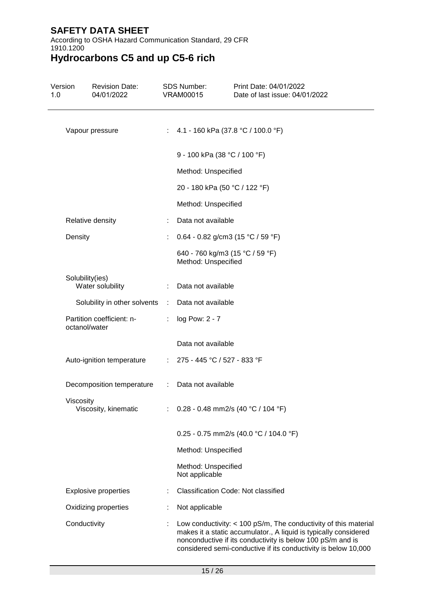According to OSHA Hazard Communication Standard, 29 CFR 1910.1200

| Version<br>1.0  | <b>Revision Date:</b><br>04/01/2022        |               | SDS Number:<br><b>VRAM00015</b>                        | Print Date: 04/01/2022<br>Date of last issue: 04/01/2022                                                                                                                                                                                                              |
|-----------------|--------------------------------------------|---------------|--------------------------------------------------------|-----------------------------------------------------------------------------------------------------------------------------------------------------------------------------------------------------------------------------------------------------------------------|
| Vapour pressure |                                            |               |                                                        | : 4.1 - 160 kPa (37.8 °C / 100.0 °F)                                                                                                                                                                                                                                  |
|                 |                                            |               | 9 - 100 kPa (38 °C / 100 °F)                           |                                                                                                                                                                                                                                                                       |
|                 |                                            |               | Method: Unspecified                                    |                                                                                                                                                                                                                                                                       |
|                 |                                            |               | 20 - 180 kPa (50 °C / 122 °F)                          |                                                                                                                                                                                                                                                                       |
|                 |                                            |               | Method: Unspecified                                    |                                                                                                                                                                                                                                                                       |
|                 | Relative density                           |               | Data not available                                     |                                                                                                                                                                                                                                                                       |
|                 | Density                                    |               |                                                        | 0.64 - 0.82 g/cm3 (15 °C / 59 °F)                                                                                                                                                                                                                                     |
|                 |                                            |               | 640 - 760 kg/m3 (15 °C / 59 °F)<br>Method: Unspecified |                                                                                                                                                                                                                                                                       |
|                 | Solubility(ies)                            |               |                                                        |                                                                                                                                                                                                                                                                       |
|                 | Water solubility                           |               | Data not available                                     |                                                                                                                                                                                                                                                                       |
|                 | Solubility in other solvents :             |               | Data not available                                     |                                                                                                                                                                                                                                                                       |
|                 | Partition coefficient: n-<br>octanol/water |               | log Pow: 2 - 7                                         |                                                                                                                                                                                                                                                                       |
|                 |                                            |               | Data not available                                     |                                                                                                                                                                                                                                                                       |
|                 | Auto-ignition temperature                  |               | : $275 - 445$ °C / 527 - 833 °F                        |                                                                                                                                                                                                                                                                       |
|                 | Decomposition temperature                  | $\mathcal{L}$ | Data not available                                     |                                                                                                                                                                                                                                                                       |
|                 | Viscosity<br>Viscosity, kinematic          |               |                                                        | : $0.28 - 0.48$ mm2/s (40 °C / 104 °F)                                                                                                                                                                                                                                |
|                 |                                            |               |                                                        | 0.25 - 0.75 mm2/s (40.0 °C / 104.0 °F)                                                                                                                                                                                                                                |
|                 |                                            |               | Method: Unspecified                                    |                                                                                                                                                                                                                                                                       |
|                 |                                            |               | Method: Unspecified<br>Not applicable                  |                                                                                                                                                                                                                                                                       |
|                 | <b>Explosive properties</b>                |               |                                                        | <b>Classification Code: Not classified</b>                                                                                                                                                                                                                            |
|                 | Oxidizing properties                       |               | Not applicable                                         |                                                                                                                                                                                                                                                                       |
|                 | Conductivity                               |               |                                                        | Low conductivity: $<$ 100 pS/m, The conductivity of this material<br>makes it a static accumulator., A liquid is typically considered<br>nonconductive if its conductivity is below 100 pS/m and is<br>considered semi-conductive if its conductivity is below 10,000 |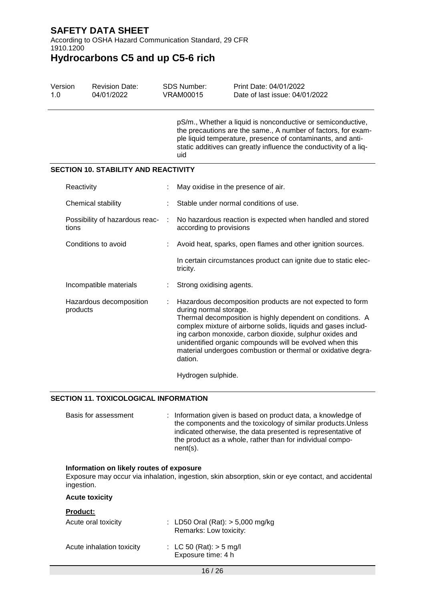According to OSHA Hazard Communication Standard, 29 CFR 1910.1200

**Hydrocarbons C5 and up C5-6 rich**

| Version<br>1.0 | <b>SDS Number:</b><br><b>Revision Date:</b><br>04/01/2022<br><b>VRAM00015</b> |  |                                                                                                                                                                                                                                                                         | Print Date: 04/01/2022<br>Date of last issue: 04/01/2022                                                                                                                                                                                                                                                                                                                        |
|----------------|-------------------------------------------------------------------------------|--|-------------------------------------------------------------------------------------------------------------------------------------------------------------------------------------------------------------------------------------------------------------------------|---------------------------------------------------------------------------------------------------------------------------------------------------------------------------------------------------------------------------------------------------------------------------------------------------------------------------------------------------------------------------------|
|                |                                                                               |  | pS/m., Whether a liquid is nonconductive or semiconductive,<br>the precautions are the same., A number of factors, for exam-<br>ple liquid temperature, presence of contaminants, and anti-<br>static additives can greatly influence the conductivity of a liq-<br>uid |                                                                                                                                                                                                                                                                                                                                                                                 |
|                | <b>SECTION 10. STABILITY AND REACTIVITY</b>                                   |  |                                                                                                                                                                                                                                                                         |                                                                                                                                                                                                                                                                                                                                                                                 |
|                | Reactivity                                                                    |  | May oxidise in the presence of air.                                                                                                                                                                                                                                     |                                                                                                                                                                                                                                                                                                                                                                                 |
|                | Chemical stability                                                            |  |                                                                                                                                                                                                                                                                         | Stable under normal conditions of use.                                                                                                                                                                                                                                                                                                                                          |
| tions          | Possibility of hazardous reac-                                                |  | according to provisions                                                                                                                                                                                                                                                 | No hazardous reaction is expected when handled and stored                                                                                                                                                                                                                                                                                                                       |
|                | Conditions to avoid                                                           |  |                                                                                                                                                                                                                                                                         | Avoid heat, sparks, open flames and other ignition sources.                                                                                                                                                                                                                                                                                                                     |
|                |                                                                               |  | tricity.                                                                                                                                                                                                                                                                | In certain circumstances product can ignite due to static elec-                                                                                                                                                                                                                                                                                                                 |
|                | Incompatible materials                                                        |  | Strong oxidising agents.                                                                                                                                                                                                                                                |                                                                                                                                                                                                                                                                                                                                                                                 |
|                | Hazardous decomposition<br>products                                           |  | during normal storage.<br>dation.                                                                                                                                                                                                                                       | Hazardous decomposition products are not expected to form<br>Thermal decomposition is highly dependent on conditions. A<br>complex mixture of airborne solids, liquids and gases includ-<br>ing carbon monoxide, carbon dioxide, sulphur oxides and<br>unidentified organic compounds will be evolved when this<br>material undergoes combustion or thermal or oxidative degra- |

Hydrogen sulphide.

### **SECTION 11. TOXICOLOGICAL INFORMATION**

Basis for assessment : Information given is based on product data, a knowledge of the components and the toxicology of similar products.Unless indicated otherwise, the data presented is representative of the product as a whole, rather than for individual component(s).

#### **Information on likely routes of exposure**

Exposure may occur via inhalation, ingestion, skin absorption, skin or eye contact, and accidental ingestion.

#### **Acute toxicity**

#### **Product:**

| Acute oral toxicity       | : LD50 Oral (Rat): $> 5,000$ mg/kg<br>Remarks: Low toxicity: |
|---------------------------|--------------------------------------------------------------|
| Acute inhalation toxicity | : LC 50 (Rat): $>$ 5 mg/l<br>Exposure time: 4 h              |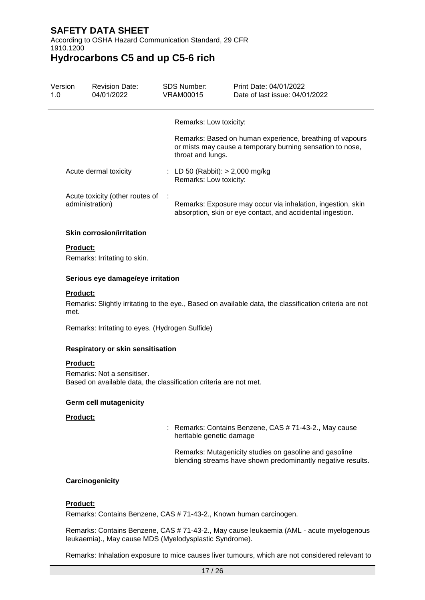According to OSHA Hazard Communication Standard, 29 CFR 1910.1200

### **Hydrocarbons C5 and up C5-6 rich**

| Version<br>1.0 | <b>Revision Date:</b><br>04/01/2022                |   | <b>SDS Number:</b><br>VRAM00015                             | Print Date: 04/01/2022<br>Date of last issue: 04/01/2022                                                                  |
|----------------|----------------------------------------------------|---|-------------------------------------------------------------|---------------------------------------------------------------------------------------------------------------------------|
|                |                                                    |   | Remarks: Low toxicity:                                      |                                                                                                                           |
|                |                                                    |   | throat and lungs.                                           | Remarks: Based on human experience, breathing of vapours<br>or mists may cause a temporary burning sensation to nose,     |
|                | Acute dermal toxicity                              |   | : LD 50 (Rabbit): $> 2,000$ mg/kg<br>Remarks: Low toxicity: |                                                                                                                           |
|                | Acute toxicity (other routes of<br>administration) | ÷ |                                                             | Remarks: Exposure may occur via inhalation, ingestion, skin<br>absorption, skin or eye contact, and accidental ingestion. |

### **Skin corrosion/irritation**

#### **Product:**

Remarks: Irritating to skin.

#### **Serious eye damage/eye irritation**

#### **Product:**

Remarks: Slightly irritating to the eye., Based on available data, the classification criteria are not met.

Remarks: Irritating to eyes. (Hydrogen Sulfide)

#### **Respiratory or skin sensitisation**

#### **Product:**

Remarks: Not a sensitiser. Based on available data, the classification criteria are not met.

#### **Germ cell mutagenicity**

#### **Product:**

: Remarks: Contains Benzene, CAS # 71-43-2., May cause heritable genetic damage

Remarks: Mutagenicity studies on gasoline and gasoline blending streams have shown predominantly negative results.

#### **Carcinogenicity**

#### **Product:**

Remarks: Contains Benzene, CAS # 71-43-2., Known human carcinogen.

Remarks: Contains Benzene, CAS # 71-43-2., May cause leukaemia (AML - acute myelogenous leukaemia)., May cause MDS (Myelodysplastic Syndrome).

Remarks: Inhalation exposure to mice causes liver tumours, which are not considered relevant to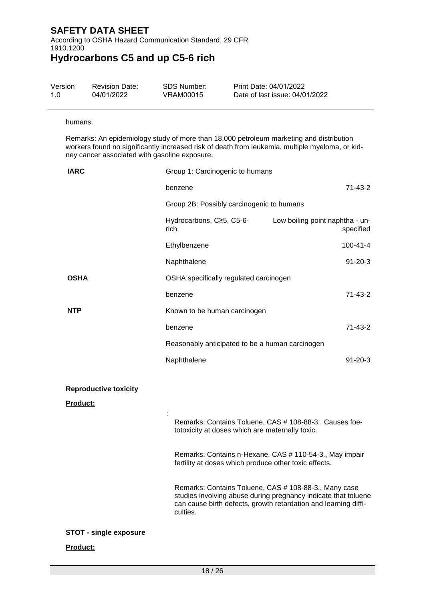According to OSHA Hazard Communication Standard, 29 CFR 1910.1200 **Hydrocarbons C5 and up C5-6 rich**

| Version | <b>Revision Date:</b> | SDS Number: | Print Date: 04/01/2022         |
|---------|-----------------------|-------------|--------------------------------|
| 1.0     | 04/01/2022            | VRAM00015   | Date of last issue: 04/01/2022 |

#### humans.

Remarks: An epidemiology study of more than 18,000 petroleum marketing and distribution workers found no significantly increased risk of death from leukemia, multiple myeloma, or kidney cancer associated with gasoline exposure.

| <b>IARC</b>                              | Group 1: Carcinogenic to humans                                   |                                                                                                                                   |  |
|------------------------------------------|-------------------------------------------------------------------|-----------------------------------------------------------------------------------------------------------------------------------|--|
|                                          | benzene                                                           | 71-43-2                                                                                                                           |  |
|                                          | Group 2B: Possibly carcinogenic to humans                         |                                                                                                                                   |  |
|                                          | Hydrocarbons, C≥5, C5-6-<br>rich.                                 | Low boiling point naphtha - un-<br>specified                                                                                      |  |
|                                          | Ethylbenzene                                                      | $100 - 41 - 4$                                                                                                                    |  |
|                                          | Naphthalene                                                       | $91 - 20 - 3$                                                                                                                     |  |
| <b>OSHA</b>                              | OSHA specifically regulated carcinogen                            |                                                                                                                                   |  |
|                                          | benzene                                                           | 71-43-2                                                                                                                           |  |
| <b>NTP</b>                               | Known to be human carcinogen                                      |                                                                                                                                   |  |
|                                          | benzene                                                           | 71-43-2                                                                                                                           |  |
|                                          | Reasonably anticipated to be a human carcinogen                   |                                                                                                                                   |  |
|                                          | Naphthalene                                                       | $91 - 20 - 3$                                                                                                                     |  |
| <b>Reproductive toxicity</b><br>Product: |                                                                   |                                                                                                                                   |  |
|                                          | totoxicity at doses which are maternally toxic.                   | Remarks: Contains Toluene, CAS # 108-88-3., Causes foe-                                                                           |  |
|                                          | fertility at doses which produce other toxic effects.             | Remarks: Contains n-Hexane, CAS # 110-54-3., May impair                                                                           |  |
|                                          | Remarks: Contains Toluene, CAS # 108-88-3., Many case<br>culties. | studies involving abuse during pregnancy indicate that toluene<br>can cause birth defects, growth retardation and learning diffi- |  |
| <b>STOT - single exposure</b>            |                                                                   |                                                                                                                                   |  |
| Product:                                 |                                                                   |                                                                                                                                   |  |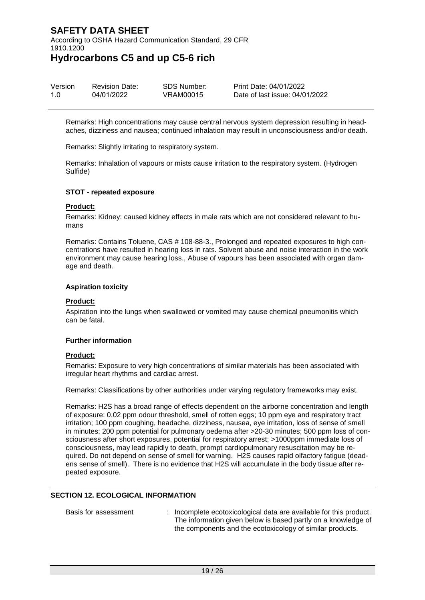According to OSHA Hazard Communication Standard, 29 CFR 1910.1200

**Hydrocarbons C5 and up C5-6 rich**

| Version | <b>Revision Date:</b> | SDS Number: | Print Date: 04/01/2022         |
|---------|-----------------------|-------------|--------------------------------|
| 1.0     | 04/01/2022            | VRAM00015   | Date of last issue: 04/01/2022 |

Remarks: High concentrations may cause central nervous system depression resulting in headaches, dizziness and nausea; continued inhalation may result in unconsciousness and/or death.

Remarks: Slightly irritating to respiratory system.

Remarks: Inhalation of vapours or mists cause irritation to the respiratory system. (Hydrogen Sulfide)

#### **STOT - repeated exposure**

#### **Product:**

Remarks: Kidney: caused kidney effects in male rats which are not considered relevant to humans

Remarks: Contains Toluene, CAS # 108-88-3., Prolonged and repeated exposures to high concentrations have resulted in hearing loss in rats. Solvent abuse and noise interaction in the work environment may cause hearing loss., Abuse of vapours has been associated with organ damage and death.

#### **Aspiration toxicity**

#### **Product:**

Aspiration into the lungs when swallowed or vomited may cause chemical pneumonitis which can be fatal.

#### **Further information**

#### **Product:**

Remarks: Exposure to very high concentrations of similar materials has been associated with irregular heart rhythms and cardiac arrest.

Remarks: Classifications by other authorities under varying regulatory frameworks may exist.

Remarks: H2S has a broad range of effects dependent on the airborne concentration and length of exposure: 0.02 ppm odour threshold, smell of rotten eggs; 10 ppm eye and respiratory tract irritation; 100 ppm coughing, headache, dizziness, nausea, eye irritation, loss of sense of smell in minutes; 200 ppm potential for pulmonary oedema after >20-30 minutes; 500 ppm loss of consciousness after short exposures, potential for respiratory arrest; >1000ppm immediate loss of consciousness, may lead rapidly to death, prompt cardiopulmonary resuscitation may be required. Do not depend on sense of smell for warning. H2S causes rapid olfactory fatigue (deadens sense of smell). There is no evidence that H2S will accumulate in the body tissue after repeated exposure.

### **SECTION 12. ECOLOGICAL INFORMATION**

| Basis for assessment | Incomplete ecotoxicological data are available for this product. |
|----------------------|------------------------------------------------------------------|
|                      | The information given below is based partly on a knowledge of    |
|                      | the components and the ecotoxicology of similar products.        |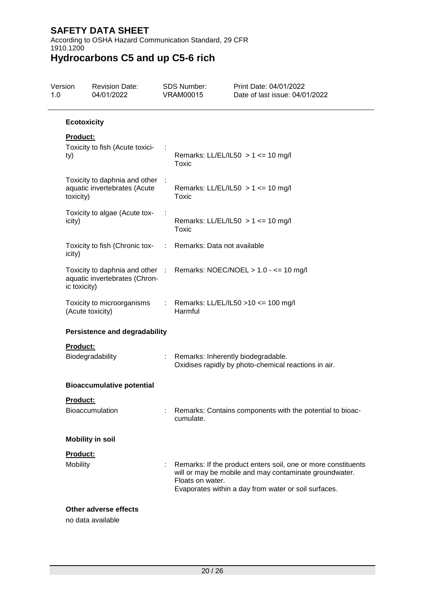According to OSHA Hazard Communication Standard, 29 CFR 1910.1200

| Version<br>1.0  | <b>Revision Date:</b><br>04/01/2022                                                                    | <b>SDS Number:</b><br><b>VRAM00015</b> | Print Date: 04/01/2022<br>Date of last issue: 04/01/2022                                                                                                                        |
|-----------------|--------------------------------------------------------------------------------------------------------|----------------------------------------|---------------------------------------------------------------------------------------------------------------------------------------------------------------------------------|
|                 | <b>Ecotoxicity</b>                                                                                     |                                        |                                                                                                                                                                                 |
| Product:<br>ty) | Toxicity to fish (Acute toxici-                                                                        | Toxic                                  | Remarks: LL/EL/IL50 $> 1$ <= 10 mg/l                                                                                                                                            |
| toxicity)       | Toxicity to daphnia and other :<br>aquatic invertebrates (Acute                                        | Toxic                                  | Remarks: LL/EL/IL50 $> 1$ <= 10 mg/l                                                                                                                                            |
| icity)          | Toxicity to algae (Acute tox-                                                                          | Toxic                                  | Remarks: LL/EL/IL50 > 1 <= 10 mg/l                                                                                                                                              |
| icity)          | Toxicity to fish (Chronic tox- : Remarks: Data not available                                           |                                        |                                                                                                                                                                                 |
| ic toxicity)    | Toxicity to daphnia and other : Remarks: NOEC/NOEL > 1.0 - <= 10 mg/l<br>aquatic invertebrates (Chron- |                                        |                                                                                                                                                                                 |
|                 | Toxicity to microorganisms<br>(Acute toxicity)                                                         | Harmful                                | Remarks: LL/EL/IL50 >10 <= 100 mg/l                                                                                                                                             |
|                 | <b>Persistence and degradability</b>                                                                   |                                        |                                                                                                                                                                                 |
| Product:        | Biodegradability                                                                                       | : Remarks: Inherently biodegradable.   | Oxidises rapidly by photo-chemical reactions in air.                                                                                                                            |
|                 | <b>Bioaccumulative potential</b>                                                                       |                                        |                                                                                                                                                                                 |
| Product:        | <b>Bioaccumulation</b>                                                                                 | cumulate.                              | Remarks: Contains components with the potential to bioac-                                                                                                                       |
|                 | <b>Mobility in soil</b>                                                                                |                                        |                                                                                                                                                                                 |
| Product:        |                                                                                                        |                                        |                                                                                                                                                                                 |
| Mobility        |                                                                                                        | Floats on water.                       | Remarks: If the product enters soil, one or more constituents<br>will or may be mobile and may contaminate groundwater.<br>Evaporates within a day from water or soil surfaces. |
|                 | Other adverse effects<br>no data available                                                             |                                        |                                                                                                                                                                                 |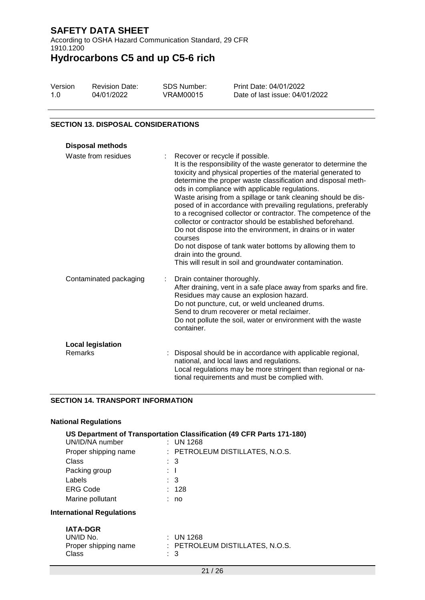According to OSHA Hazard Communication Standard, 29 CFR 1910.1200 **Hydrocarbons C5 and up C5-6 rich**

| Version | <b>Revision Date:</b> | SDS Number: | Print Date: 04/01/2022         |
|---------|-----------------------|-------------|--------------------------------|
| 1.0     | 04/01/2022            | VRAM00015   | Date of last issue: 04/01/2022 |

#### **SECTION 13. DISPOSAL CONSIDERATIONS**

| <b>Disposal methods</b>             |                                                                                                                                                                                                                                                                                                                                                                                                                                                                                                                                                                                                                                                                                                                                                                                    |
|-------------------------------------|------------------------------------------------------------------------------------------------------------------------------------------------------------------------------------------------------------------------------------------------------------------------------------------------------------------------------------------------------------------------------------------------------------------------------------------------------------------------------------------------------------------------------------------------------------------------------------------------------------------------------------------------------------------------------------------------------------------------------------------------------------------------------------|
| Waste from residues                 | Recover or recycle if possible.<br>It is the responsibility of the waste generator to determine the<br>toxicity and physical properties of the material generated to<br>determine the proper waste classification and disposal meth-<br>ods in compliance with applicable regulations.<br>Waste arising from a spillage or tank cleaning should be dis-<br>posed of in accordance with prevailing regulations, preferably<br>to a recognised collector or contractor. The competence of the<br>collector or contractor should be established beforehand.<br>Do not dispose into the environment, in drains or in water<br>courses<br>Do not dispose of tank water bottoms by allowing them to<br>drain into the ground.<br>This will result in soil and groundwater contamination. |
| Contaminated packaging              | Drain container thoroughly.<br>After draining, vent in a safe place away from sparks and fire.<br>Residues may cause an explosion hazard.<br>Do not puncture, cut, or weld uncleaned drums.<br>Send to drum recoverer or metal reclaimer.<br>Do not pollute the soil, water or environment with the waste<br>container.                                                                                                                                                                                                                                                                                                                                                                                                                                                            |
| <b>Local legislation</b><br>Remarks | Disposal should be in accordance with applicable regional,<br>national, and local laws and regulations.<br>Local regulations may be more stringent than regional or na-<br>tional requirements and must be complied with.                                                                                                                                                                                                                                                                                                                                                                                                                                                                                                                                                          |

#### **SECTION 14. TRANSPORT INFORMATION**

|  | <b>National Regulations</b> |
|--|-----------------------------|
|--|-----------------------------|

|                                  |   | US Department of Transportation Classification (49 CFR Parts 171-180) |
|----------------------------------|---|-----------------------------------------------------------------------|
| UN/ID/NA number                  |   | $:$ UN 1268                                                           |
| Proper shipping name             |   | : PETROLEUM DISTILLATES, N.O.S.                                       |
| Class                            |   | : 3                                                                   |
| Packing group                    |   | $\mathbf{1}$                                                          |
| Labels                           |   | $\therefore$ 3                                                        |
| <b>ERG Code</b>                  |   | : 128                                                                 |
| Marine pollutant                 |   | no                                                                    |
| <b>International Regulations</b> |   |                                                                       |
| <b>IATA-DGR</b>                  |   |                                                                       |
| UN/ID No.                        |   | $:$ UN 1268                                                           |
| Proper shipping name             |   | : PETROLEUM DISTILLATES, N.O.S.                                       |
| Class                            | ÷ | 3                                                                     |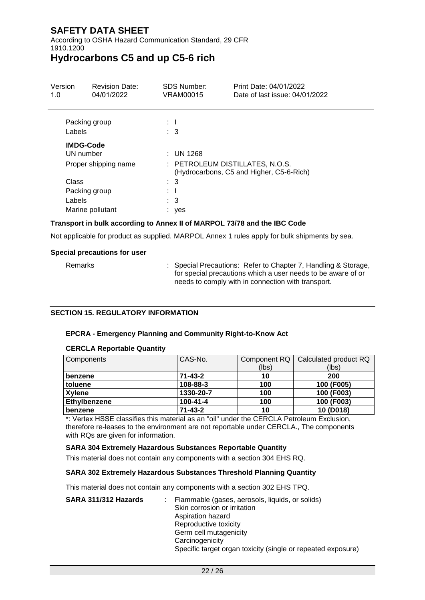According to OSHA Hazard Communication Standard, 29 CFR 1910.1200

## **Hydrocarbons C5 and up C5-6 rich**

| Version<br>1.0                                        | <b>Revision Date:</b><br>04/01/2022 | <b>SDS Number:</b><br>VRAM00015                           | Print Date: 04/01/2022<br>Date of last issue: 04/01/2022 |
|-------------------------------------------------------|-------------------------------------|-----------------------------------------------------------|----------------------------------------------------------|
| Packing group<br>Labels                               |                                     | $\mathbf{1}$<br>$\therefore$ 3                            |                                                          |
| <b>IMDG-Code</b><br>UN number<br>Proper shipping name |                                     | : UN 1268                                                 | : PETROLEUM DISTILLATES, N.O.S.                          |
| Class<br>Packing group<br>Labels                      | Marine pollutant                    | $\therefore$ 3<br>$\mathbf{1}$<br>$\therefore$ 3<br>: yes | (Hydrocarbons, C5 and Higher, C5-6-Rich)                 |

### **Transport in bulk according to Annex II of MARPOL 73/78 and the IBC Code**

Not applicable for product as supplied. MARPOL Annex 1 rules apply for bulk shipments by sea.

#### **Special precautions for user**

Remarks : Special Precautions: Refer to Chapter 7, Handling & Storage, for special precautions which a user needs to be aware of or needs to comply with in connection with transport.

### **SECTION 15. REGULATORY INFORMATION**

#### **EPCRA - Emergency Planning and Community Right-to-Know Act**

#### **CERCLA Reportable Quantity**

| Components    | CAS-No.        | Component RQ | Calculated product RQ |
|---------------|----------------|--------------|-----------------------|
|               |                | (lbs)        | (lbs)                 |
| benzene       | $71 - 43 - 2$  | 10           | 200                   |
| toluene       | 108-88-3       | 100          | 100 (F005)            |
| <b>Xylene</b> | 1330-20-7      | 100          | 100 (F003)            |
| Ethylbenzene  | $100 - 41 - 4$ | 100          | 100 (F003)            |
| benzene       | $71 - 43 - 2$  | 10           | 10 (D018)             |

\*: Vertex HSSE classifies this material as an "oil" under the CERCLA Petroleum Exclusion, therefore re-leases to the environment are not reportable under CERCLA., The components with RQs are given for information.

#### **SARA 304 Extremely Hazardous Substances Reportable Quantity**

This material does not contain any components with a section 304 EHS RQ.

#### **SARA 302 Extremely Hazardous Substances Threshold Planning Quantity**

This material does not contain any components with a section 302 EHS TPQ.

| SARA 311/312 Hazards | Flammable (gases, aerosols, liquids, or solids)              |
|----------------------|--------------------------------------------------------------|
|                      | Skin corrosion or irritation                                 |
|                      | Aspiration hazard                                            |
|                      | Reproductive toxicity                                        |
|                      | Germ cell mutagenicity                                       |
|                      | Carcinogenicity                                              |
|                      | Specific target organ toxicity (single or repeated exposure) |
|                      |                                                              |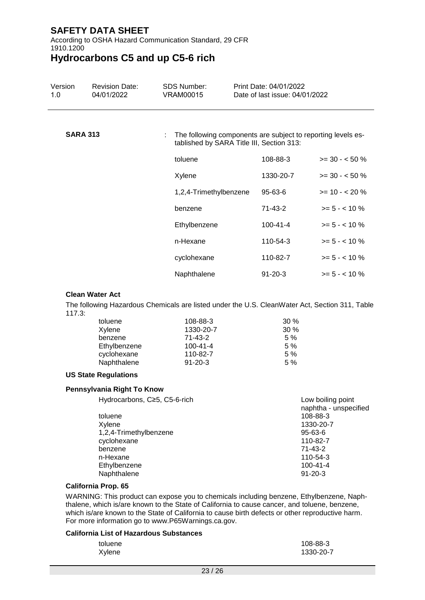According to OSHA Hazard Communication Standard, 29 CFR 1910.1200

**Hydrocarbons C5 and up C5-6 rich**

| Version<br>1.0  | <b>Revision Date:</b><br>04/01/2022 | <b>SDS Number:</b><br><b>VRAM00015</b> | Print Date: 04/01/2022<br>Date of last issue: 04/01/2022                                                    |                  |  |  |  |
|-----------------|-------------------------------------|----------------------------------------|-------------------------------------------------------------------------------------------------------------|------------------|--|--|--|
| <b>SARA 313</b> |                                     |                                        | : The following components are subject to reporting levels es-<br>tablished by SARA Title III, Section 313: |                  |  |  |  |
|                 |                                     | toluene                                | 108-88-3                                                                                                    | $>= 30 - 50 %$   |  |  |  |
|                 |                                     | Xylene                                 | 1330-20-7                                                                                                   | $>= 30 - 50 %$   |  |  |  |
|                 |                                     | 1,2,4-Trimethylbenzene                 | $95 - 63 - 6$                                                                                               | $>= 10 - 20%$    |  |  |  |
|                 |                                     | benzene                                | 71-43-2                                                                                                     | $>= 5 - < 10 \%$ |  |  |  |
|                 |                                     | Ethylbenzene                           | $100 - 41 - 4$                                                                                              | $>= 5 - < 10 \%$ |  |  |  |
|                 |                                     | n-Hexane                               | 110-54-3                                                                                                    | $>= 5 - < 10 \%$ |  |  |  |
|                 |                                     | cyclohexane                            | 110-82-7                                                                                                    | $>= 5 - < 10 \%$ |  |  |  |
|                 |                                     | Naphthalene                            | $91 - 20 - 3$                                                                                               | $>= 5 - < 10 \%$ |  |  |  |

#### **Clean Water Act**

The following Hazardous Chemicals are listed under the U.S. CleanWater Act, Section 311, Table 117.3:

| toluene      | 108-88-3       | $30\%$ |
|--------------|----------------|--------|
| Xylene       | 1330-20-7      | $30\%$ |
| benzene      | 71-43-2        | 5%     |
| Ethylbenzene | $100 - 41 - 4$ | 5 %    |
| cyclohexane  | 110-82-7       | 5%     |
| Naphthalene  | $91 - 20 - 3$  | 5%     |

#### **US State Regulations**

#### **Pennsylvania Right To Know**

| Hydrocarbons, C≥5, C5-6-rich | Low boiling point<br>naphtha - unspecified |
|------------------------------|--------------------------------------------|
| toluene                      | 108-88-3                                   |
| Xylene                       | 1330-20-7                                  |
| 1,2,4-Trimethylbenzene       | $95 - 63 - 6$                              |
| cyclohexane                  | 110-82-7                                   |
| benzene                      | 71-43-2                                    |
| n-Hexane                     | 110-54-3                                   |
| Ethylbenzene                 | $100 - 41 - 4$                             |
| Naphthalene                  | $91 - 20 - 3$                              |
|                              |                                            |

#### **California Prop. 65**

WARNING: This product can expose you to chemicals including benzene, Ethylbenzene, Naphthalene, which is/are known to the State of California to cause cancer, and toluene, benzene, which is/are known to the State of California to cause birth defects or other reproductive harm. For more information go to www.P65Warnings.ca.gov.

#### **California List of Hazardous Substances**

| toluene | 108-88-3  |
|---------|-----------|
| Xylene  | 1330-20-7 |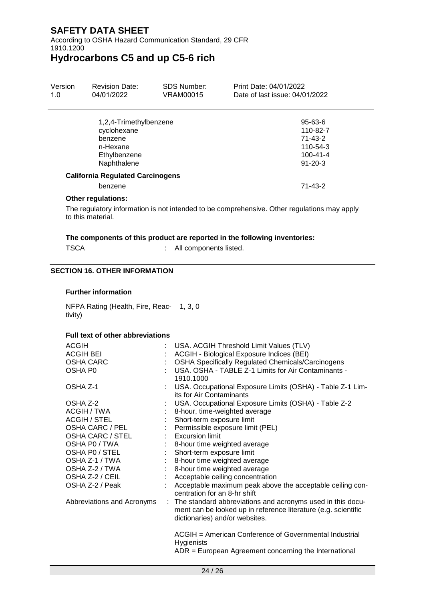According to OSHA Hazard Communication Standard, 29 CFR 1910.1200

**Hydrocarbons C5 and up C5-6 rich**

| Version<br>1.0 | <b>Revision Date:</b><br>04/01/2022                                                         | <b>SDS Number:</b><br>VRAM00015 | Print Date: 04/01/2022<br>Date of last issue: 04/01/2022                                  |  |
|----------------|---------------------------------------------------------------------------------------------|---------------------------------|-------------------------------------------------------------------------------------------|--|
|                | 1,2,4-Trimethylbenzene<br>cyclohexane<br>benzene<br>n-Hexane<br>Ethylbenzene<br>Naphthalene |                                 | $95 - 63 - 6$<br>110-82-7<br>$71 - 43 - 2$<br>110-54-3<br>$100 - 41 - 4$<br>$91 - 20 - 3$ |  |
|                | <b>California Regulated Carcinogens</b>                                                     |                                 |                                                                                           |  |
| benzene        |                                                                                             |                                 | $71 - 43 - 2$                                                                             |  |
|                |                                                                                             |                                 |                                                                                           |  |

### **Other regulations:**

The regulatory information is not intended to be comprehensive. Other regulations may apply to this material.

#### **The components of this product are reported in the following inventories:**

: All components listed.

#### **SECTION 16. OTHER INFORMATION**

#### **Further information**

NFPA Rating (Health, Fire, Reac-1, 3, 0 tivity)

#### **Full text of other abbreviations**

| <b>ACGIH</b><br><b>ACGIH BEI</b><br><b>OSHA CARC</b><br>OSHA P0                                 |                            | USA. ACGIH Threshold Limit Values (TLV)<br>ACGIH - Biological Exposure Indices (BEI)<br><b>OSHA Specifically Regulated Chemicals/Carcinogens</b><br>USA. OSHA - TABLE Z-1 Limits for Air Contaminants -<br>1910.1000                                         |  |
|-------------------------------------------------------------------------------------------------|----------------------------|--------------------------------------------------------------------------------------------------------------------------------------------------------------------------------------------------------------------------------------------------------------|--|
| OSHA Z-1                                                                                        |                            | USA. Occupational Exposure Limits (OSHA) - Table Z-1 Lim-<br>its for Air Contaminants                                                                                                                                                                        |  |
| OSHA Z-2<br>ACGIH / TWA<br>ACGIH / STEL<br>OSHA CARC / PEL<br>OSHA CARC / STEL<br>OSHA PO / TWA | $\mathcal{L}^{\text{max}}$ | USA. Occupational Exposure Limits (OSHA) - Table Z-2<br>8-hour, time-weighted average<br>Short-term exposure limit<br>Permissible exposure limit (PEL)<br>: Excursion limit                                                                                  |  |
| OSHA PO / STEL<br>OSHA Z-1 / TWA<br>OSHA Z-2 / TWA<br>OSHA Z-2 / CEIL<br>OSHA Z-2 / Peak        |                            | 8-hour time weighted average<br>Short-term exposure limit<br>8-hour time weighted average<br>8-hour time weighted average<br>: Acceptable ceiling concentration<br>Acceptable maximum peak above the acceptable ceiling con-<br>centration for an 8-hr shift |  |
| Abbreviations and Acronyms                                                                      |                            | : The standard abbreviations and acronyms used in this docu-<br>ment can be looked up in reference literature (e.g. scientific<br>dictionaries) and/or websites.                                                                                             |  |
|                                                                                                 |                            | ACGIH = American Conference of Governmental Industrial<br><b>Hygienists</b><br>$ADR = European Agreement concerning the International$                                                                                                                       |  |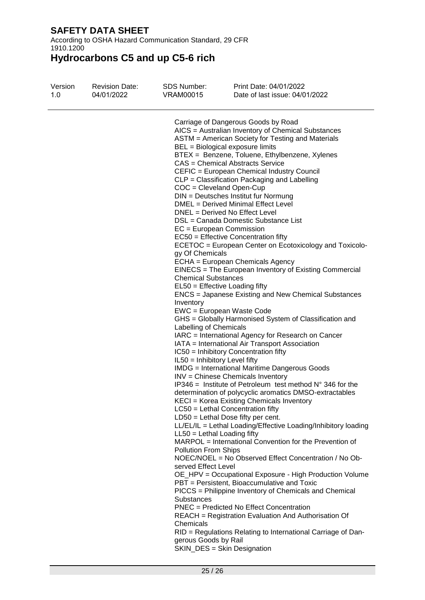According to OSHA Hazard Communication Standard, 29 CFR 1910.1200

| Version<br>1.0 | <b>Revision Date:</b><br>04/01/2022 | <b>SDS Number:</b><br>VRAM00015 | Print Date: 04/01/2022<br>Date of last issue: 04/01/2022           |  |
|----------------|-------------------------------------|---------------------------------|--------------------------------------------------------------------|--|
|                |                                     |                                 | Carriage of Dangerous Goods by Road                                |  |
|                |                                     |                                 | AICS = Australian Inventory of Chemical Substances                 |  |
|                |                                     |                                 | ASTM = American Society for Testing and Materials                  |  |
|                |                                     |                                 | BEL = Biological exposure limits                                   |  |
|                |                                     |                                 | BTEX = Benzene, Toluene, Ethylbenzene, Xylenes                     |  |
|                |                                     |                                 | CAS = Chemical Abstracts Service                                   |  |
|                |                                     |                                 | CEFIC = European Chemical Industry Council                         |  |
|                |                                     |                                 | CLP = Classification Packaging and Labelling                       |  |
|                |                                     | $COC = Cleveland Open-Cup$      |                                                                    |  |
|                |                                     |                                 | DIN = Deutsches Institut fur Normung                               |  |
|                |                                     |                                 | DMEL = Derived Minimal Effect Level                                |  |
|                |                                     |                                 | DNEL = Derived No Effect Level                                     |  |
|                |                                     |                                 | DSL = Canada Domestic Substance List                               |  |
|                |                                     | EC = European Commission        |                                                                    |  |
|                |                                     |                                 | EC50 = Effective Concentration fifty                               |  |
|                |                                     |                                 | ECETOC = European Center on Ecotoxicology and Toxicolo-            |  |
|                |                                     | gy Of Chemicals                 |                                                                    |  |
|                |                                     |                                 | ECHA = European Chemicals Agency                                   |  |
|                |                                     |                                 | EINECS = The European Inventory of Existing Commercial             |  |
|                |                                     | <b>Chemical Substances</b>      |                                                                    |  |
|                |                                     |                                 | EL50 = Effective Loading fifty                                     |  |
|                |                                     |                                 | ENCS = Japanese Existing and New Chemical Substances               |  |
|                |                                     | Inventory                       |                                                                    |  |
|                |                                     |                                 | EWC = European Waste Code                                          |  |
|                |                                     |                                 | GHS = Globally Harmonised System of Classification and             |  |
|                |                                     | Labelling of Chemicals          |                                                                    |  |
|                |                                     |                                 | IARC = International Agency for Research on Cancer                 |  |
|                |                                     |                                 | IATA = International Air Transport Association                     |  |
|                |                                     |                                 | IC50 = Inhibitory Concentration fifty                              |  |
|                |                                     | IL50 = Inhibitory Level fifty   |                                                                    |  |
|                |                                     |                                 | <b>IMDG</b> = International Maritime Dangerous Goods               |  |
|                |                                     |                                 | INV = Chinese Chemicals Inventory                                  |  |
|                |                                     |                                 | IP346 = Institute of Petroleum test method $N^{\circ}$ 346 for the |  |
|                |                                     |                                 | determination of polycyclic aromatics DMSO-extractables            |  |
|                |                                     |                                 | KECI = Korea Existing Chemicals Inventory                          |  |
|                |                                     |                                 | $LC50$ = Lethal Concentration fifty                                |  |
|                |                                     |                                 | $LD50 = Lethal Does fifty per cent.$                               |  |
|                |                                     |                                 | LL/EL/IL = Lethal Loading/Effective Loading/Inhibitory loading     |  |
|                |                                     | $LL50 = Lethal$ Loading fifty   |                                                                    |  |
|                |                                     |                                 | MARPOL = International Convention for the Prevention of            |  |
|                |                                     | <b>Pollution From Ships</b>     | NOEC/NOEL = No Observed Effect Concentration / No Ob-              |  |
|                |                                     | served Effect Level             |                                                                    |  |
|                |                                     |                                 | OE_HPV = Occupational Exposure - High Production Volume            |  |
|                |                                     |                                 | PBT = Persistent, Bioaccumulative and Toxic                        |  |
|                |                                     |                                 | PICCS = Philippine Inventory of Chemicals and Chemical             |  |
|                |                                     | <b>Substances</b>               |                                                                    |  |
|                |                                     |                                 | <b>PNEC</b> = Predicted No Effect Concentration                    |  |
|                |                                     |                                 | REACH = Registration Evaluation And Authorisation Of               |  |
|                |                                     | Chemicals                       |                                                                    |  |
|                |                                     |                                 | RID = Regulations Relating to International Carriage of Dan-       |  |
|                |                                     | gerous Goods by Rail            |                                                                    |  |
|                |                                     |                                 | SKIN_DES = Skin Designation                                        |  |
|                |                                     |                                 |                                                                    |  |